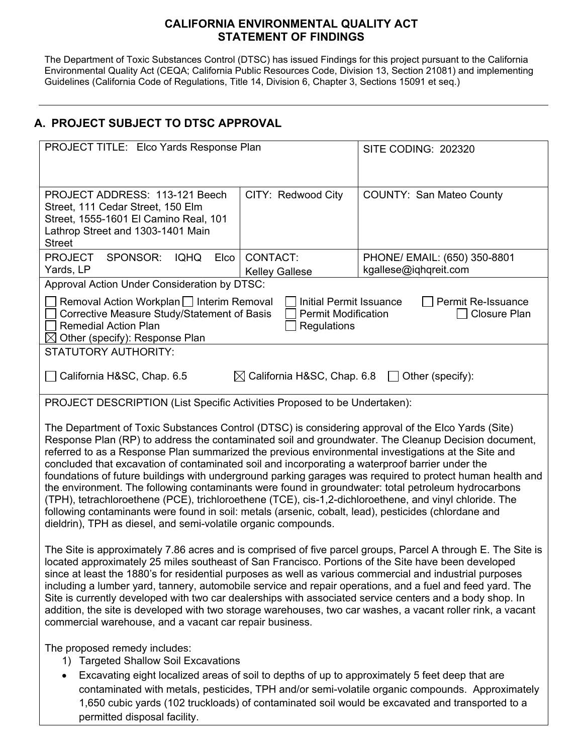## **CALIFORNIA ENVIRONMENTAL QUALITY ACT STATEMENT OF FINDINGS**

The Department of Toxic Substances Control (DTSC) has issued Findings for this project pursuant to the California Environmental Quality Act (CEQA; California Public Resources Code, Division 13, Section 21081) and implementing Guidelines (California Code of Regulations, Title 14, Division 6, Chapter 3, Sections 15091 et seq.)

# **A. PROJECT SUBJECT TO DTSC APPROVAL**

| PROJECT TITLE: Elco Yards Response Plan                                                                                                                                                                                                                                                                                                                                                                                                                                                                                                                                                                                                                                                                                                                                                                                                                                                                                     |                                                                             | SITE CODING: 202320                                   |
|-----------------------------------------------------------------------------------------------------------------------------------------------------------------------------------------------------------------------------------------------------------------------------------------------------------------------------------------------------------------------------------------------------------------------------------------------------------------------------------------------------------------------------------------------------------------------------------------------------------------------------------------------------------------------------------------------------------------------------------------------------------------------------------------------------------------------------------------------------------------------------------------------------------------------------|-----------------------------------------------------------------------------|-------------------------------------------------------|
| PROJECT ADDRESS: 113-121 Beech<br>Street, 111 Cedar Street, 150 Elm<br>Street, 1555-1601 El Camino Real, 101<br>Lathrop Street and 1303-1401 Main<br><b>Street</b>                                                                                                                                                                                                                                                                                                                                                                                                                                                                                                                                                                                                                                                                                                                                                          | CITY: Redwood City                                                          | <b>COUNTY: San Mateo County</b>                       |
| <b>PROJECT</b><br>SPONSOR:<br><b>IQHQ</b><br>Elco<br>Yards, LP                                                                                                                                                                                                                                                                                                                                                                                                                                                                                                                                                                                                                                                                                                                                                                                                                                                              | <b>CONTACT:</b><br><b>Kelley Gallese</b>                                    | PHONE/ EMAIL: (650) 350-8801<br>kgallese@iqhqreit.com |
| Approval Action Under Consideration by DTSC:                                                                                                                                                                                                                                                                                                                                                                                                                                                                                                                                                                                                                                                                                                                                                                                                                                                                                |                                                                             |                                                       |
| Removal Action Workplan   Interim Removal<br>Corrective Measure Study/Statement of Basis<br><b>Remedial Action Plan</b><br>$\boxtimes$ Other (specify): Response Plan                                                                                                                                                                                                                                                                                                                                                                                                                                                                                                                                                                                                                                                                                                                                                       | <b>Initial Permit Issuance</b><br><b>Permit Modification</b><br>Regulations | Permit Re-Issuance<br>Closure Plan                    |
| <b>STATUTORY AUTHORITY:</b>                                                                                                                                                                                                                                                                                                                                                                                                                                                                                                                                                                                                                                                                                                                                                                                                                                                                                                 |                                                                             |                                                       |
| California H&SC, Chap. 6.5                                                                                                                                                                                                                                                                                                                                                                                                                                                                                                                                                                                                                                                                                                                                                                                                                                                                                                  | $\boxtimes$ California H&SC, Chap. 6.8                                      | $\Box$ Other (specify):                               |
| PROJECT DESCRIPTION (List Specific Activities Proposed to be Undertaken):                                                                                                                                                                                                                                                                                                                                                                                                                                                                                                                                                                                                                                                                                                                                                                                                                                                   |                                                                             |                                                       |
| The Department of Toxic Substances Control (DTSC) is considering approval of the Elco Yards (Site)<br>Response Plan (RP) to address the contaminated soil and groundwater. The Cleanup Decision document,<br>referred to as a Response Plan summarized the previous environmental investigations at the Site and<br>concluded that excavation of contaminated soil and incorporating a waterproof barrier under the<br>foundations of future buildings with underground parking garages was required to protect human health and<br>the environment. The following contaminants were found in groundwater: total petroleum hydrocarbons<br>(TPH), tetrachloroethene (PCE), trichloroethene (TCE), cis-1,2-dichloroethene, and vinyl chloride. The<br>following contaminants were found in soil: metals (arsenic, cobalt, lead), pesticides (chlordane and<br>dieldrin), TPH as diesel, and semi-volatile organic compounds. |                                                                             |                                                       |
| The Site is approximately 7.86 acres and is comprised of five parcel groups, Parcel A through E. The Site is<br>located approximately 25 miles southeast of San Francisco. Portions of the Site have been developed<br>since at least the 1880's for residential purposes as well as various commercial and industrial purposes<br>including a lumber yard, tannery, automobile service and repair operations, and a fuel and feed yard. The<br>Site is currently developed with two car dealerships with associated service centers and a body shop. In<br>addition, the site is developed with two storage warehouses, two car washes, a vacant roller rink, a vacant<br>commercial warehouse, and a vacant car repair business.                                                                                                                                                                                          |                                                                             |                                                       |
| The proposed remedy includes:<br><b>Targeted Shallow Soil Excavations</b><br>1)<br>Excavating eight localized areas of soil to depths of up to approximately 5 feet deep that are                                                                                                                                                                                                                                                                                                                                                                                                                                                                                                                                                                                                                                                                                                                                           |                                                                             |                                                       |

contaminated with metals, pesticides, TPH and/or semi-volatile organic compounds. Approximately 1,650 cubic yards (102 truckloads) of contaminated soil would be excavated and transported to a permitted disposal facility.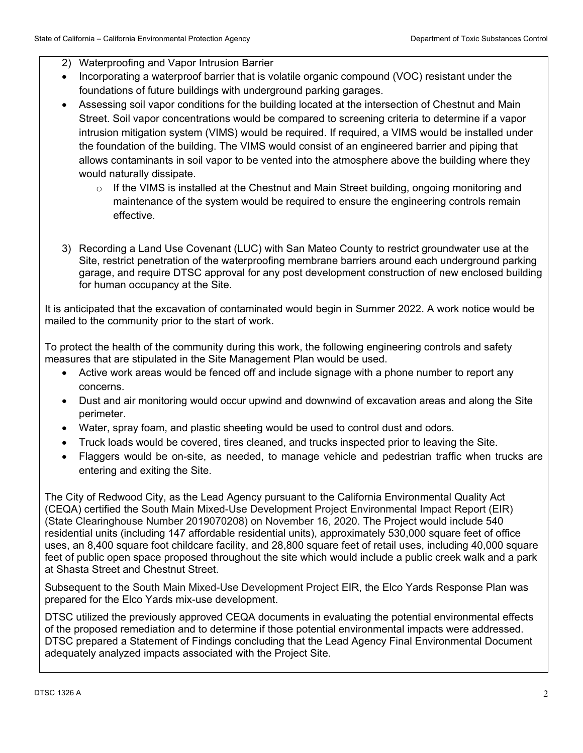- 2) Waterproofing and Vapor Intrusion Barrier
- Incorporating a waterproof barrier that is volatile organic compound (VOC) resistant under the foundations of future buildings with underground parking garages.
- Assessing soil vapor conditions for the building located at the intersection of Chestnut and Main Street. Soil vapor concentrations would be compared to screening criteria to determine if a vapor intrusion mitigation system (VIMS) would be required. If required, a VIMS would be installed under the foundation of the building. The VIMS would consist of an engineered barrier and piping that allows contaminants in soil vapor to be vented into the atmosphere above the building where they would naturally dissipate.
	- o If the VIMS is installed at the Chestnut and Main Street building, ongoing monitoring and maintenance of the system would be required to ensure the engineering controls remain effective.
- 3) Recording a Land Use Covenant (LUC) with San Mateo County to restrict groundwater use at the Site, restrict penetration of the waterproofing membrane barriers around each underground parking garage, and require DTSC approval for any post development construction of new enclosed building for human occupancy at the Site.

It is anticipated that the excavation of contaminated would begin in Summer 2022. A work notice would be mailed to the community prior to the start of work.

To protect the health of the community during this work, the following engineering controls and safety measures that are stipulated in the Site Management Plan would be used.

- Active work areas would be fenced off and include signage with a phone number to report any concerns.
- Dust and air monitoring would occur upwind and downwind of excavation areas and along the Site perimeter.
- Water, spray foam, and plastic sheeting would be used to control dust and odors.
- Truck loads would be covered, tires cleaned, and trucks inspected prior to leaving the Site.
- Flaggers would be on-site, as needed, to manage vehicle and pedestrian traffic when trucks are entering and exiting the Site.

The City of Redwood City, as the Lead Agency pursuant to the California Environmental Quality Act (CEQA) certified the South Main Mixed-Use Development Project Environmental Impact Report (EIR) (State Clearinghouse Number 2019070208) on November 16, 2020. The Project would include 540 residential units (including 147 affordable residential units), approximately 530,000 square feet of office uses, an 8,400 square foot childcare facility, and 28,800 square feet of retail uses, including 40,000 square feet of public open space proposed throughout the site which would include a public creek walk and a park at Shasta Street and Chestnut Street.

Subsequent to the South Main Mixed-Use Development Project EIR, the Elco Yards Response Plan was prepared for the Elco Yards mix-use development.

DTSC utilized the previously approved CEQA documents in evaluating the potential environmental effects of the proposed remediation and to determine if those potential environmental impacts were addressed. DTSC prepared a Statement of Findings concluding that the Lead Agency Final Environmental Document adequately analyzed impacts associated with the Project Site.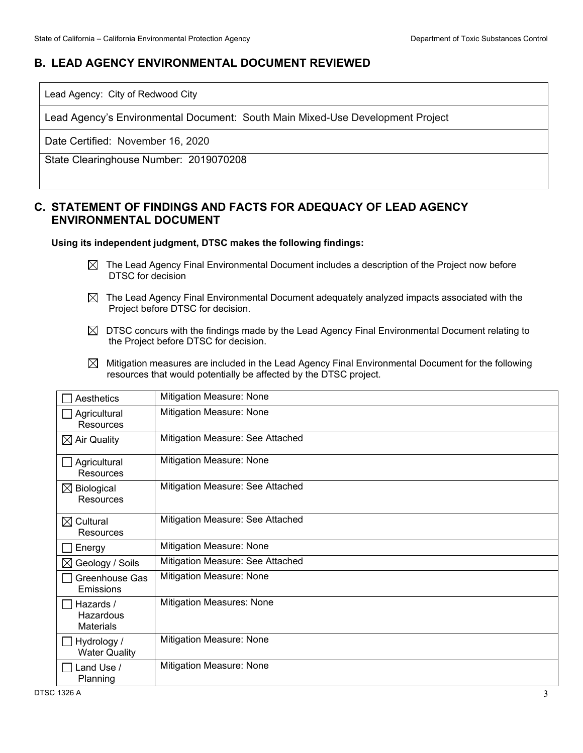## **B. LEAD AGENCY ENVIRONMENTAL DOCUMENT REVIEWED**

Lead Agency: City of Redwood City

Lead Agency's Environmental Document: South Main Mixed-Use Development Project

Date Certified: November 16, 2020

State Clearinghouse Number: 2019070208

## **C. STATEMENT OF FINDINGS AND FACTS FOR ADEQUACY OF LEAD AGENCY ENVIRONMENTAL DOCUMENT**

### **Using its independent judgment, DTSC makes the following findings:**

- $\boxtimes$  The Lead Agency Final Environmental Document includes a description of the Project now before DTSC for decision
- $\boxtimes$  The Lead Agency Final Environmental Document adequately analyzed impacts associated with the Project before DTSC for decision.
- $\boxtimes$  DTSC concurs with the findings made by the Lead Agency Final Environmental Document relating to the Project before DTSC for decision.
- $\boxtimes$  Mitigation measures are included in the Lead Agency Final Environmental Document for the following resources that would potentially be affected by the DTSC project.

| Aesthetics                                 | Mitigation Measure: None         |
|--------------------------------------------|----------------------------------|
| Agricultural<br>Resources                  | Mitigation Measure: None         |
| $\boxtimes$ Air Quality                    | Mitigation Measure: See Attached |
| Agricultural<br>Resources                  | Mitigation Measure: None         |
| $\boxtimes$ Biological<br>Resources        | Mitigation Measure: See Attached |
| $\boxtimes$ Cultural<br>Resources          | Mitigation Measure: See Attached |
| Energy                                     | Mitigation Measure: None         |
| ⊠ Geology / Soils                          | Mitigation Measure: See Attached |
| Greenhouse Gas<br>Emissions                | Mitigation Measure: None         |
| Hazards /<br>Hazardous<br><b>Materials</b> | Mitigation Measures: None        |
| Hydrology /<br><b>Water Quality</b>        | Mitigation Measure: None         |
| Land Use /<br>Planning                     | Mitigation Measure: None         |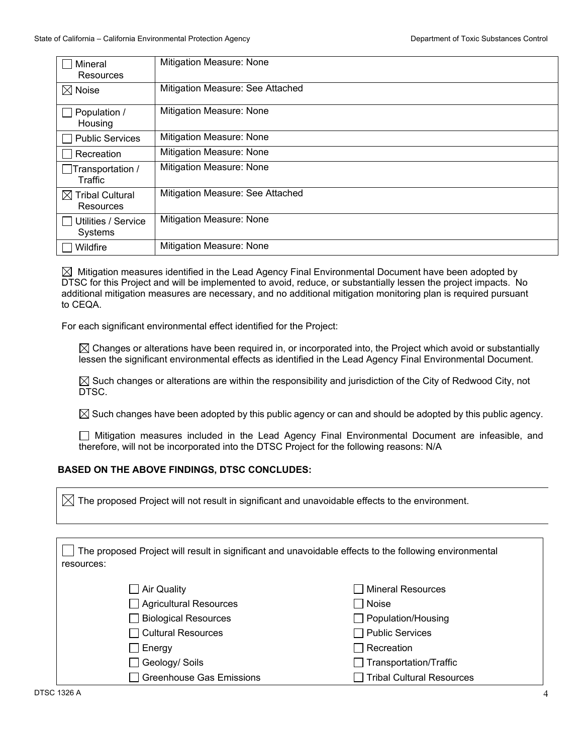| Mineral<br>Resources                     | Mitigation Measure: None         |
|------------------------------------------|----------------------------------|
| $\boxtimes$ Noise                        | Mitigation Measure: See Attached |
| Population /<br>Housing                  | Mitigation Measure: None         |
| <b>Public Services</b>                   | Mitigation Measure: None         |
| Recreation                               | Mitigation Measure: None         |
| Transportation /<br>Traffic              | Mitigation Measure: None         |
| $\boxtimes$ Tribal Cultural<br>Resources | Mitigation Measure: See Attached |
| Utilities / Service<br>Systems           | Mitigation Measure: None         |
| Wildfire                                 | <b>Mitigation Measure: None</b>  |

 $\boxtimes$  Mitigation measures identified in the Lead Agency Final Environmental Document have been adopted by DTSC for this Project and will be implemented to avoid, reduce, or substantially lessen the project impacts. No additional mitigation measures are necessary, and no additional mitigation monitoring plan is required pursuant to CEQA.

For each significant environmental effect identified for the Project:

 $\boxtimes$  Changes or alterations have been required in, or incorporated into, the Project which avoid or substantially lessen the significant environmental effects as identified in the Lead Agency Final Environmental Document.

 $\boxtimes$  Such changes or alterations are within the responsibility and jurisdiction of the City of Redwood City, not DTSC.

 $\boxtimes$  Such changes have been adopted by this public agency or can and should be adopted by this public agency.

Mitigation measures included in the Lead Agency Final Environmental Document are infeasible, and therefore, will not be incorporated into the DTSC Project for the following reasons: N/A

### **BASED ON THE ABOVE FINDINGS, DTSC CONCLUDES:**

 $\boxtimes$  The proposed Project will not result in significant and unavoidable effects to the environment.

| The proposed Project will result in significant and unavoidable effects to the following environmental<br>resources: |                                  |
|----------------------------------------------------------------------------------------------------------------------|----------------------------------|
| Air Quality                                                                                                          | <b>Mineral Resources</b>         |
| Agricultural Resources                                                                                               | Noise                            |
| <b>Biological Resources</b>                                                                                          | $\Box$ Population/Housing        |
| $\sqcap$ Cultural Resources                                                                                          | <b>Public Services</b>           |
| Energy                                                                                                               | Recreation                       |
| Geology/ Soils                                                                                                       | Transportation/Traffic           |
| <b>Greenhouse Gas Emissions</b>                                                                                      | <b>Tribal Cultural Resources</b> |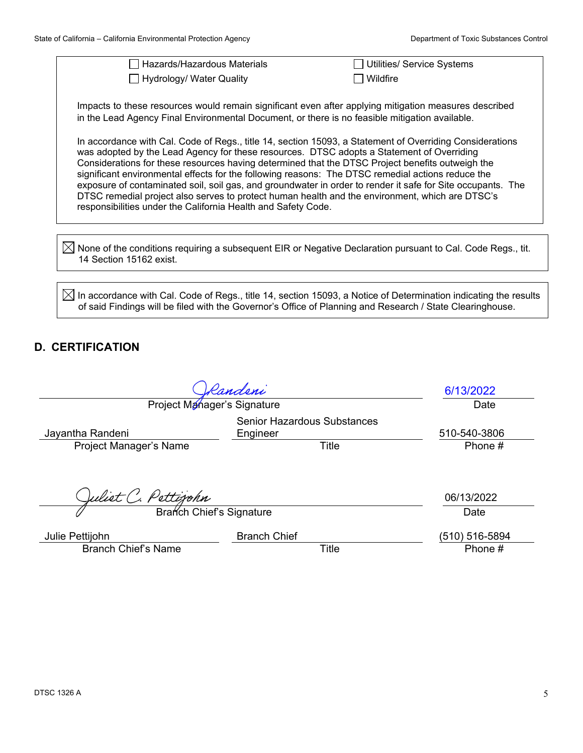| State of California - California Environmental Protection Agency                                                                                                                                                                                                                                                                                                                                                                                                                                                                                                                                                                                                                                  | Department of Toxic Substances Control |  |  |  |  |
|---------------------------------------------------------------------------------------------------------------------------------------------------------------------------------------------------------------------------------------------------------------------------------------------------------------------------------------------------------------------------------------------------------------------------------------------------------------------------------------------------------------------------------------------------------------------------------------------------------------------------------------------------------------------------------------------------|----------------------------------------|--|--|--|--|
| Hazards/Hazardous Materials                                                                                                                                                                                                                                                                                                                                                                                                                                                                                                                                                                                                                                                                       | Utilities/ Service Systems             |  |  |  |  |
| Hydrology/ Water Quality                                                                                                                                                                                                                                                                                                                                                                                                                                                                                                                                                                                                                                                                          | Wildfire                               |  |  |  |  |
| Impacts to these resources would remain significant even after applying mitigation measures described<br>in the Lead Agency Final Environmental Document, or there is no feasible mitigation available.                                                                                                                                                                                                                                                                                                                                                                                                                                                                                           |                                        |  |  |  |  |
| In accordance with Cal. Code of Regs., title 14, section 15093, a Statement of Overriding Considerations<br>was adopted by the Lead Agency for these resources. DTSC adopts a Statement of Overriding<br>Considerations for these resources having determined that the DTSC Project benefits outweigh the<br>significant environmental effects for the following reasons: The DTSC remedial actions reduce the<br>exposure of contaminated soil, soil gas, and groundwater in order to render it safe for Site occupants. The<br>DTSC remedial project also serves to protect human health and the environment, which are DTSC's<br>responsibilities under the California Health and Safety Code. |                                        |  |  |  |  |
| None of the conditions requiring a subsequent EIR or Negative Declaration pursuant to Cal. Code Regs., tit.<br>14 Section 15162 exist.                                                                                                                                                                                                                                                                                                                                                                                                                                                                                                                                                            |                                        |  |  |  |  |
|                                                                                                                                                                                                                                                                                                                                                                                                                                                                                                                                                                                                                                                                                                   |                                        |  |  |  |  |
| In accordance with Cal. Code of Regs., title 14, section 15093, a Notice of Determination indicating the results<br>of said Findings will be filed with the Governor's Office of Planning and Research / State Clearinghouse.                                                                                                                                                                                                                                                                                                                                                                                                                                                                     |                                        |  |  |  |  |

# **D. CERTIFICATION**

|                                               | Randeni                                        | 6/13/2022                 |
|-----------------------------------------------|------------------------------------------------|---------------------------|
| Project Manager's Signature                   |                                                | Date                      |
| Jayantha Randeni                              | <b>Senior Hazardous Substances</b><br>Engineer | 510-540-3806              |
| Project Manager's Name                        | Title                                          | Phone #                   |
| Juliet C. Pettijohn                           |                                                | 06/13/2022                |
| Branch Chief's Signature                      |                                                | Date                      |
| Julie Pettijohn<br><b>Branch Chief's Name</b> | <b>Branch Chief</b><br>Title                   | (510) 516-5894<br>Phone # |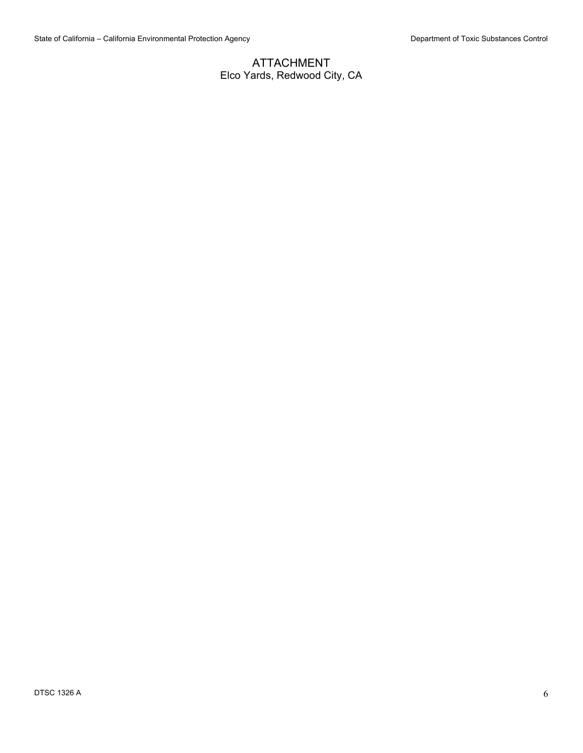## ATTACHMENT Elco Yards, Redwood City, CA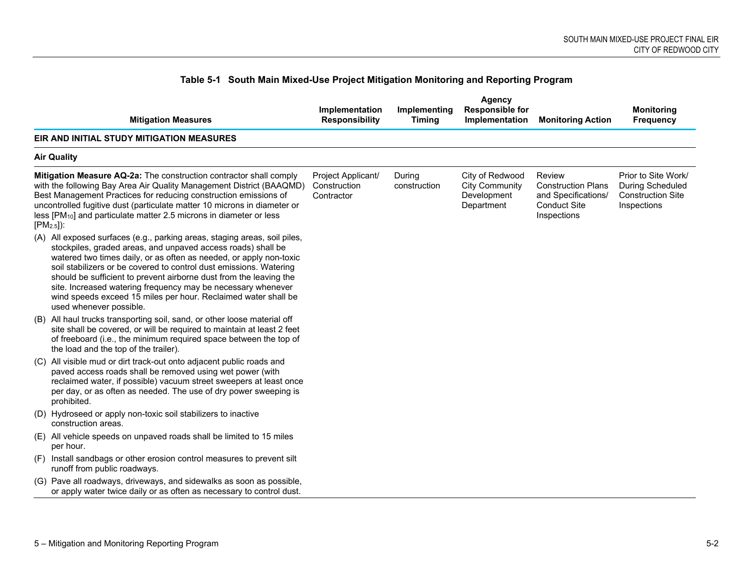|                    | <b>Mitigation Measures</b>                                                                                                                                                                                                                                                                                                                                                                                                                                                                                               | Implementation<br><b>Responsibility</b>          | Implementing<br><b>Timina</b> | Agency<br><b>Responsible for</b><br>Implementation                    | <b>Monitoring Action</b>                                                                         | <b>Monitoring</b><br><b>Frequency</b>                                              |
|--------------------|--------------------------------------------------------------------------------------------------------------------------------------------------------------------------------------------------------------------------------------------------------------------------------------------------------------------------------------------------------------------------------------------------------------------------------------------------------------------------------------------------------------------------|--------------------------------------------------|-------------------------------|-----------------------------------------------------------------------|--------------------------------------------------------------------------------------------------|------------------------------------------------------------------------------------|
|                    | EIR AND INITIAL STUDY MITIGATION MEASURES                                                                                                                                                                                                                                                                                                                                                                                                                                                                                |                                                  |                               |                                                                       |                                                                                                  |                                                                                    |
| <b>Air Quality</b> |                                                                                                                                                                                                                                                                                                                                                                                                                                                                                                                          |                                                  |                               |                                                                       |                                                                                                  |                                                                                    |
| $[PM2.5]$ :        | <b>Mitigation Measure AQ-2a:</b> The construction contractor shall comply<br>with the following Bay Area Air Quality Management District (BAAQMD)<br>Best Management Practices for reducing construction emissions of<br>uncontrolled fugitive dust (particulate matter 10 microns in diameter or<br>less [PM <sub>10</sub> ] and particulate matter 2.5 microns in diameter or less                                                                                                                                     | Project Applicant/<br>Construction<br>Contractor | During<br>construction        | City of Redwood<br><b>City Community</b><br>Development<br>Department | Review<br><b>Construction Plans</b><br>and Specifications/<br><b>Conduct Site</b><br>Inspections | Prior to Site Work/<br>During Scheduled<br><b>Construction Site</b><br>Inspections |
|                    | (A) All exposed surfaces (e.g., parking areas, staging areas, soil piles,<br>stockpiles, graded areas, and unpaved access roads) shall be<br>watered two times daily, or as often as needed, or apply non-toxic<br>soil stabilizers or be covered to control dust emissions. Watering<br>should be sufficient to prevent airborne dust from the leaving the<br>site. Increased watering frequency may be necessary whenever<br>wind speeds exceed 15 miles per hour. Reclaimed water shall be<br>used whenever possible. |                                                  |                               |                                                                       |                                                                                                  |                                                                                    |
|                    | (B) All haul trucks transporting soil, sand, or other loose material off<br>site shall be covered, or will be required to maintain at least 2 feet<br>of freeboard (i.e., the minimum required space between the top of<br>the load and the top of the trailer).                                                                                                                                                                                                                                                         |                                                  |                               |                                                                       |                                                                                                  |                                                                                    |
|                    | (C) All visible mud or dirt track-out onto adjacent public roads and<br>paved access roads shall be removed using wet power (with<br>reclaimed water, if possible) vacuum street sweepers at least once<br>per day, or as often as needed. The use of dry power sweeping is<br>prohibited.                                                                                                                                                                                                                               |                                                  |                               |                                                                       |                                                                                                  |                                                                                    |
|                    | (D) Hydroseed or apply non-toxic soil stabilizers to inactive<br>construction areas.                                                                                                                                                                                                                                                                                                                                                                                                                                     |                                                  |                               |                                                                       |                                                                                                  |                                                                                    |
|                    | (E) All vehicle speeds on unpaved roads shall be limited to 15 miles<br>per hour.                                                                                                                                                                                                                                                                                                                                                                                                                                        |                                                  |                               |                                                                       |                                                                                                  |                                                                                    |
|                    | (F) Install sandbags or other erosion control measures to prevent silt<br>runoff from public roadways.                                                                                                                                                                                                                                                                                                                                                                                                                   |                                                  |                               |                                                                       |                                                                                                  |                                                                                    |
|                    | (G) Pave all roadways, driveways, and sidewalks as soon as possible,<br>or apply water twice daily or as often as necessary to control dust.                                                                                                                                                                                                                                                                                                                                                                             |                                                  |                               |                                                                       |                                                                                                  |                                                                                    |

## **Table 5-1 South Main Mixed-Use Project Mitigation Monitoring and Reporting Program**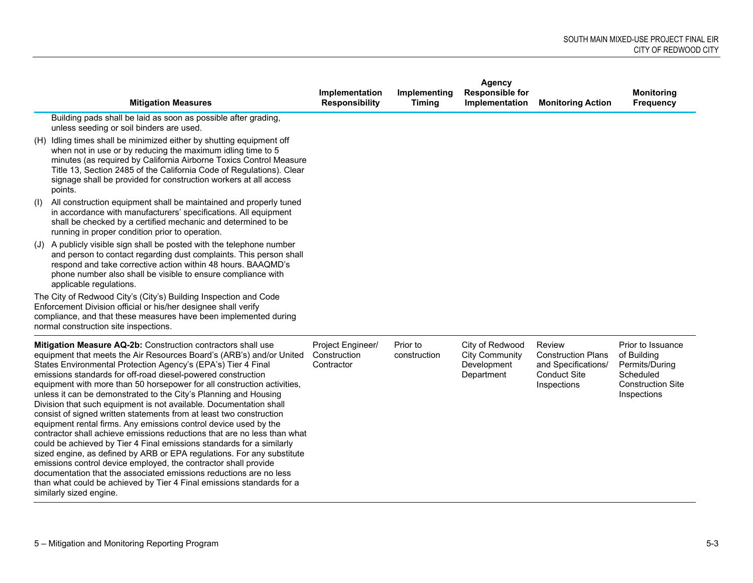|     | <b>Mitigation Measures</b>                                                                                                                                                                                                                                                                                                                                                                                                                                                                                                                                                                                                                                                                                                                                                                                                                                                                                                                                                                                                                                                                                        | Implementation<br><b>Responsibility</b>         | Implementing<br><b>Timing</b> | <b>Agency</b><br><b>Responsible for</b><br>Implementation             | <b>Monitoring Action</b>                                                                                | <b>Monitoring</b><br><b>Frequency</b>                                                                      |
|-----|-------------------------------------------------------------------------------------------------------------------------------------------------------------------------------------------------------------------------------------------------------------------------------------------------------------------------------------------------------------------------------------------------------------------------------------------------------------------------------------------------------------------------------------------------------------------------------------------------------------------------------------------------------------------------------------------------------------------------------------------------------------------------------------------------------------------------------------------------------------------------------------------------------------------------------------------------------------------------------------------------------------------------------------------------------------------------------------------------------------------|-------------------------------------------------|-------------------------------|-----------------------------------------------------------------------|---------------------------------------------------------------------------------------------------------|------------------------------------------------------------------------------------------------------------|
|     | Building pads shall be laid as soon as possible after grading,<br>unless seeding or soil binders are used.                                                                                                                                                                                                                                                                                                                                                                                                                                                                                                                                                                                                                                                                                                                                                                                                                                                                                                                                                                                                        |                                                 |                               |                                                                       |                                                                                                         |                                                                                                            |
|     | (H) Idling times shall be minimized either by shutting equipment off<br>when not in use or by reducing the maximum idling time to 5<br>minutes (as required by California Airborne Toxics Control Measure<br>Title 13, Section 2485 of the California Code of Regulations). Clear<br>signage shall be provided for construction workers at all access<br>points.                                                                                                                                                                                                                                                                                                                                                                                                                                                                                                                                                                                                                                                                                                                                                  |                                                 |                               |                                                                       |                                                                                                         |                                                                                                            |
| (1) | All construction equipment shall be maintained and properly tuned<br>in accordance with manufacturers' specifications. All equipment<br>shall be checked by a certified mechanic and determined to be<br>running in proper condition prior to operation.                                                                                                                                                                                                                                                                                                                                                                                                                                                                                                                                                                                                                                                                                                                                                                                                                                                          |                                                 |                               |                                                                       |                                                                                                         |                                                                                                            |
|     | (J) A publicly visible sign shall be posted with the telephone number<br>and person to contact regarding dust complaints. This person shall<br>respond and take corrective action within 48 hours. BAAQMD's<br>phone number also shall be visible to ensure compliance with<br>applicable regulations.                                                                                                                                                                                                                                                                                                                                                                                                                                                                                                                                                                                                                                                                                                                                                                                                            |                                                 |                               |                                                                       |                                                                                                         |                                                                                                            |
|     | The City of Redwood City's (City's) Building Inspection and Code<br>Enforcement Division official or his/her designee shall verify<br>compliance, and that these measures have been implemented during<br>normal construction site inspections.                                                                                                                                                                                                                                                                                                                                                                                                                                                                                                                                                                                                                                                                                                                                                                                                                                                                   |                                                 |                               |                                                                       |                                                                                                         |                                                                                                            |
|     | Mitigation Measure AQ-2b: Construction contractors shall use<br>equipment that meets the Air Resources Board's (ARB's) and/or United<br>States Environmental Protection Agency's (EPA's) Tier 4 Final<br>emissions standards for off-road diesel-powered construction<br>equipment with more than 50 horsepower for all construction activities,<br>unless it can be demonstrated to the City's Planning and Housing<br>Division that such equipment is not available. Documentation shall<br>consist of signed written statements from at least two construction<br>equipment rental firms. Any emissions control device used by the<br>contractor shall achieve emissions reductions that are no less than what<br>could be achieved by Tier 4 Final emissions standards for a similarly<br>sized engine, as defined by ARB or EPA regulations. For any substitute<br>emissions control device employed, the contractor shall provide<br>documentation that the associated emissions reductions are no less<br>than what could be achieved by Tier 4 Final emissions standards for a<br>similarly sized engine. | Project Engineer/<br>Construction<br>Contractor | Prior to<br>construction      | City of Redwood<br><b>City Community</b><br>Development<br>Department | <b>Review</b><br><b>Construction Plans</b><br>and Specifications/<br><b>Conduct Site</b><br>Inspections | Prior to Issuance<br>of Building<br>Permits/During<br>Scheduled<br><b>Construction Site</b><br>Inspections |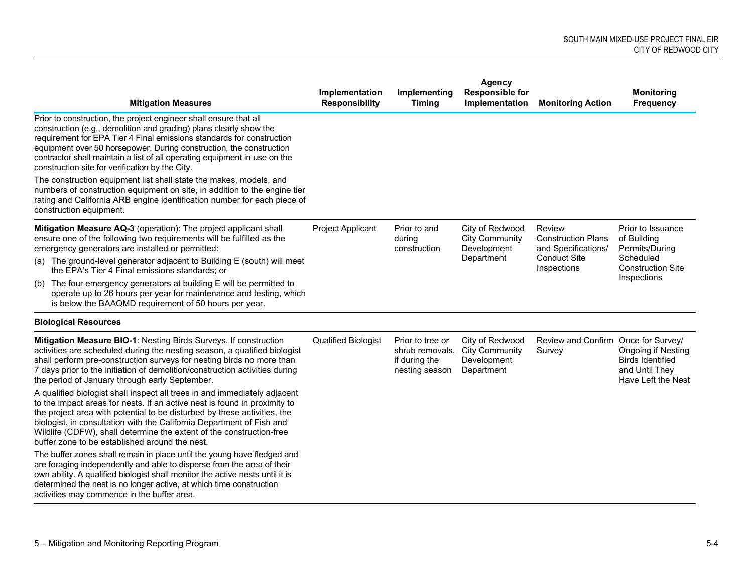| <b>Mitigation Measures</b>                                                                                                                                                                                                                                                                                                                                                                                                            | Implementation<br><b>Responsibility</b> | Implementing<br><b>Timing</b>                                          | <b>Agency</b><br><b>Responsible for</b><br>Implementation             | <b>Monitoring Action</b>                                                                         | <b>Monitoring</b><br><b>Frequency</b>                                                        |
|---------------------------------------------------------------------------------------------------------------------------------------------------------------------------------------------------------------------------------------------------------------------------------------------------------------------------------------------------------------------------------------------------------------------------------------|-----------------------------------------|------------------------------------------------------------------------|-----------------------------------------------------------------------|--------------------------------------------------------------------------------------------------|----------------------------------------------------------------------------------------------|
| Prior to construction, the project engineer shall ensure that all<br>construction (e.g., demolition and grading) plans clearly show the<br>requirement for EPA Tier 4 Final emissions standards for construction<br>equipment over 50 horsepower. During construction, the construction<br>contractor shall maintain a list of all operating equipment in use on the<br>construction site for verification by the City.               |                                         |                                                                        |                                                                       |                                                                                                  |                                                                                              |
| The construction equipment list shall state the makes, models, and<br>numbers of construction equipment on site, in addition to the engine tier<br>rating and California ARB engine identification number for each piece of<br>construction equipment.                                                                                                                                                                                |                                         |                                                                        |                                                                       |                                                                                                  |                                                                                              |
| Mitigation Measure AQ-3 (operation): The project applicant shall<br>ensure one of the following two requirements will be fulfilled as the<br>emergency generators are installed or permitted:                                                                                                                                                                                                                                         | Project Applicant                       | Prior to and<br>during<br>Development<br>construction                  | City of Redwood<br><b>City Community</b>                              | Review<br><b>Construction Plans</b><br>and Specifications/<br><b>Conduct Site</b><br>Inspections | Prior to Issuance<br>of Building<br>Permits/During<br>Scheduled<br><b>Construction Site</b>  |
| (a) The ground-level generator adjacent to Building E (south) will meet<br>the EPA's Tier 4 Final emissions standards; or                                                                                                                                                                                                                                                                                                             |                                         |                                                                        | Department                                                            |                                                                                                  |                                                                                              |
| (b) The four emergency generators at building E will be permitted to<br>operate up to 26 hours per year for maintenance and testing, which<br>is below the BAAQMD requirement of 50 hours per year.                                                                                                                                                                                                                                   |                                         |                                                                        |                                                                       |                                                                                                  | Inspections                                                                                  |
| <b>Biological Resources</b>                                                                                                                                                                                                                                                                                                                                                                                                           |                                         |                                                                        |                                                                       |                                                                                                  |                                                                                              |
| Mitigation Measure BIO-1: Nesting Birds Surveys. If construction<br>activities are scheduled during the nesting season, a qualified biologist<br>shall perform pre-construction surveys for nesting birds no more than<br>7 days prior to the initiation of demolition/construction activities during<br>the period of January through early September.                                                                               | <b>Qualified Biologist</b>              | Prior to tree or<br>shrub removals,<br>if during the<br>nesting season | City of Redwood<br><b>City Community</b><br>Development<br>Department | Review and Confirm Once for Survey/<br>Survey                                                    | <b>Ongoing if Nesting</b><br><b>Birds Identified</b><br>and Until They<br>Have Left the Nest |
| A qualified biologist shall inspect all trees in and immediately adjacent<br>to the impact areas for nests. If an active nest is found in proximity to<br>the project area with potential to be disturbed by these activities, the<br>biologist, in consultation with the California Department of Fish and<br>Wildlife (CDFW), shall determine the extent of the construction-free<br>buffer zone to be established around the nest. |                                         |                                                                        |                                                                       |                                                                                                  |                                                                                              |
| The buffer zones shall remain in place until the young have fledged and<br>are foraging independently and able to disperse from the area of their<br>own ability. A qualified biologist shall monitor the active nests until it is<br>determined the nest is no longer active, at which time construction<br>activities may commence in the buffer area.                                                                              |                                         |                                                                        |                                                                       |                                                                                                  |                                                                                              |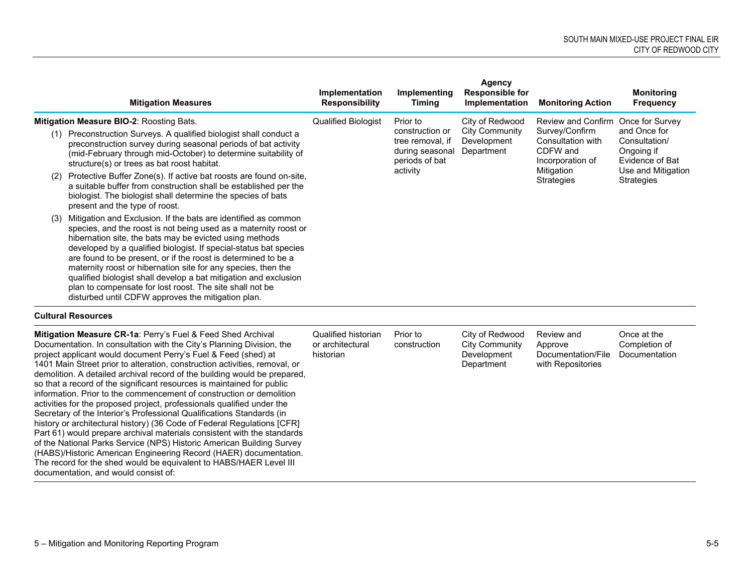|     | <b>Mitigation Measures</b>                                                                                                                                                                                                                                                                                                                                                                                                                                                                                                                                                                  | Implementation<br><b>Responsibility</b> | Implementing<br><b>Timing</b>                                            | <b>Agency</b><br><b>Responsible for</b><br>Implementation | <b>Monitoring Action</b>                                            | <b>Monitoring</b><br><b>Frequency</b>                          |
|-----|---------------------------------------------------------------------------------------------------------------------------------------------------------------------------------------------------------------------------------------------------------------------------------------------------------------------------------------------------------------------------------------------------------------------------------------------------------------------------------------------------------------------------------------------------------------------------------------------|-----------------------------------------|--------------------------------------------------------------------------|-----------------------------------------------------------|---------------------------------------------------------------------|----------------------------------------------------------------|
|     | Mitigation Measure BIO-2: Roosting Bats.                                                                                                                                                                                                                                                                                                                                                                                                                                                                                                                                                    | Qualified Biologist                     | Prior to                                                                 | City of Redwood                                           | Review and Confirm Once for Survey                                  |                                                                |
| (1) | Preconstruction Surveys. A qualified biologist shall conduct a<br>preconstruction survey during seasonal periods of bat activity<br>(mid-February through mid-October) to determine suitability of<br>structure(s) or trees as bat roost habitat.                                                                                                                                                                                                                                                                                                                                           |                                         | construction or<br>tree removal, if<br>during seasonal<br>periods of bat | City Community<br>Development<br>Department               | Survey/Confirm<br>Consultation with<br>CDFW and<br>Incorporation of | and Once for<br>Consultation/<br>Ongoing if<br>Evidence of Bat |
| (2) | Protective Buffer Zone(s). If active bat roosts are found on-site,<br>a suitable buffer from construction shall be established per the<br>biologist. The biologist shall determine the species of bats<br>present and the type of roost.                                                                                                                                                                                                                                                                                                                                                    |                                         | activity                                                                 |                                                           | Mitigation<br><b>Strategies</b>                                     | Use and Mitigation<br>Strategies                               |
| (3) | Mitigation and Exclusion. If the bats are identified as common<br>species, and the roost is not being used as a maternity roost or<br>hibernation site, the bats may be evicted using methods<br>developed by a qualified biologist. If special-status bat species<br>are found to be present, or if the roost is determined to be a<br>maternity roost or hibernation site for any species, then the<br>qualified biologist shall develop a bat mitigation and exclusion<br>plan to compensate for lost roost. The site shall not be<br>disturbed until CDFW approves the mitigation plan. |                                         |                                                                          |                                                           |                                                                     |                                                                |

**Cultural Resources**

| Mitigation Measure CR-1a: Perry's Fuel & Feed Shed Archival<br>Documentation. In consultation with the City's Planning Division, the<br>project applicant would document Perry's Fuel & Feed (shed) at<br>1401 Main Street prior to alteration, construction activities, removal, or<br>demolition. A detailed archival record of the building would be prepared,<br>so that a record of the significant resources is maintained for public<br>information. Prior to the commencement of construction or demolition<br>activities for the proposed project, professionals qualified under the<br>Secretary of the Interior's Professional Qualifications Standards (in<br>history or architectural history) (36 Code of Federal Regulations [CFR]<br>Part 61) would prepare archival materials consistent with the standards<br>of the National Parks Service (NPS) Historic American Building Survey | Qualified historian<br>or architectural<br>historian | Prior to<br>construction | City of Redwood<br><b>City Community</b><br><b>Development</b><br>Department | Review and<br>Approve<br>Documentation/File<br>with Repositories | Once at the<br>Completion of<br>Documentation |
|-------------------------------------------------------------------------------------------------------------------------------------------------------------------------------------------------------------------------------------------------------------------------------------------------------------------------------------------------------------------------------------------------------------------------------------------------------------------------------------------------------------------------------------------------------------------------------------------------------------------------------------------------------------------------------------------------------------------------------------------------------------------------------------------------------------------------------------------------------------------------------------------------------|------------------------------------------------------|--------------------------|------------------------------------------------------------------------------|------------------------------------------------------------------|-----------------------------------------------|
|                                                                                                                                                                                                                                                                                                                                                                                                                                                                                                                                                                                                                                                                                                                                                                                                                                                                                                       |                                                      |                          |                                                                              |                                                                  |                                               |
| (HABS)/Historic American Engineering Record (HAER) documentation.                                                                                                                                                                                                                                                                                                                                                                                                                                                                                                                                                                                                                                                                                                                                                                                                                                     |                                                      |                          |                                                                              |                                                                  |                                               |
| The record for the shed would be equivalent to HABS/HAER Level III                                                                                                                                                                                                                                                                                                                                                                                                                                                                                                                                                                                                                                                                                                                                                                                                                                    |                                                      |                          |                                                                              |                                                                  |                                               |
| documentation, and would consist of:                                                                                                                                                                                                                                                                                                                                                                                                                                                                                                                                                                                                                                                                                                                                                                                                                                                                  |                                                      |                          |                                                                              |                                                                  |                                               |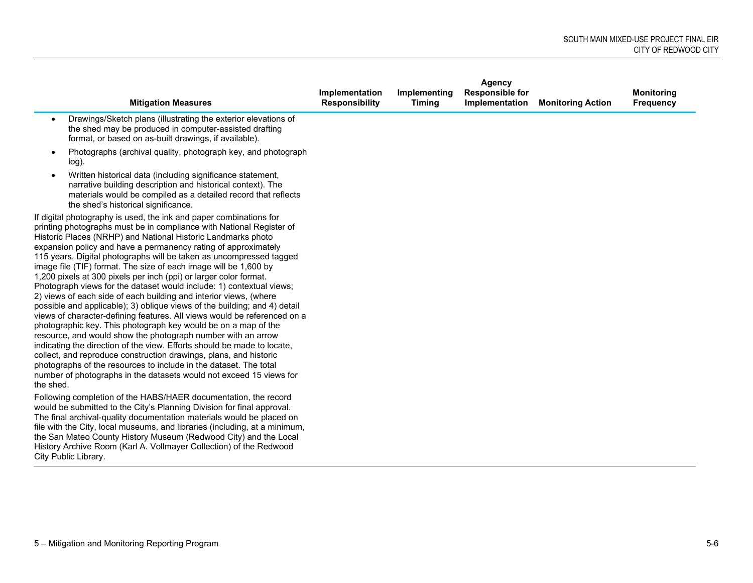| Agency                                                                                                                                                                                                                                                                                                                                                                                                                                                                                                                                                                                                                                                                                                                                                                                                                                                                                                                                                                                                                                                                                                                                                                                                                                        |                                         |                               |                                          |                          |                                       |
|-----------------------------------------------------------------------------------------------------------------------------------------------------------------------------------------------------------------------------------------------------------------------------------------------------------------------------------------------------------------------------------------------------------------------------------------------------------------------------------------------------------------------------------------------------------------------------------------------------------------------------------------------------------------------------------------------------------------------------------------------------------------------------------------------------------------------------------------------------------------------------------------------------------------------------------------------------------------------------------------------------------------------------------------------------------------------------------------------------------------------------------------------------------------------------------------------------------------------------------------------|-----------------------------------------|-------------------------------|------------------------------------------|--------------------------|---------------------------------------|
| <b>Mitigation Measures</b>                                                                                                                                                                                                                                                                                                                                                                                                                                                                                                                                                                                                                                                                                                                                                                                                                                                                                                                                                                                                                                                                                                                                                                                                                    | Implementation<br><b>Responsibility</b> | Implementing<br><b>Timing</b> | <b>Responsible for</b><br>Implementation | <b>Monitoring Action</b> | <b>Monitoring</b><br><b>Frequency</b> |
| Drawings/Sketch plans (illustrating the exterior elevations of<br>$\bullet$<br>the shed may be produced in computer-assisted drafting<br>format, or based on as-built drawings, if available).                                                                                                                                                                                                                                                                                                                                                                                                                                                                                                                                                                                                                                                                                                                                                                                                                                                                                                                                                                                                                                                |                                         |                               |                                          |                          |                                       |
| Photographs (archival quality, photograph key, and photograph<br>log).                                                                                                                                                                                                                                                                                                                                                                                                                                                                                                                                                                                                                                                                                                                                                                                                                                                                                                                                                                                                                                                                                                                                                                        |                                         |                               |                                          |                          |                                       |
| Written historical data (including significance statement,<br>narrative building description and historical context). The<br>materials would be compiled as a detailed record that reflects<br>the shed's historical significance.                                                                                                                                                                                                                                                                                                                                                                                                                                                                                                                                                                                                                                                                                                                                                                                                                                                                                                                                                                                                            |                                         |                               |                                          |                          |                                       |
| If digital photography is used, the ink and paper combinations for<br>printing photographs must be in compliance with National Register of<br>Historic Places (NRHP) and National Historic Landmarks photo<br>expansion policy and have a permanency rating of approximately<br>115 years. Digital photographs will be taken as uncompressed tagged<br>image file (TIF) format. The size of each image will be 1,600 by<br>1,200 pixels at 300 pixels per inch (ppi) or larger color format.<br>Photograph views for the dataset would include: 1) contextual views;<br>2) views of each side of each building and interior views, (where<br>possible and applicable); 3) oblique views of the building; and 4) detail<br>views of character-defining features. All views would be referenced on a<br>photographic key. This photograph key would be on a map of the<br>resource, and would show the photograph number with an arrow<br>indicating the direction of the view. Efforts should be made to locate,<br>collect, and reproduce construction drawings, plans, and historic<br>photographs of the resources to include in the dataset. The total<br>number of photographs in the datasets would not exceed 15 views for<br>the shed. |                                         |                               |                                          |                          |                                       |
| Following completion of the HABS/HAER documentation, the record<br>would be submitted to the City's Planning Division for final approval.<br>The final archival-quality documentation materials would be placed on<br>file with the City, local museums, and libraries (including, at a minimum,<br>the San Mateo County History Museum (Redwood City) and the Local<br>History Archive Room (Karl A. Vollmayer Collection) of the Redwood<br>City Public Library.                                                                                                                                                                                                                                                                                                                                                                                                                                                                                                                                                                                                                                                                                                                                                                            |                                         |                               |                                          |                          |                                       |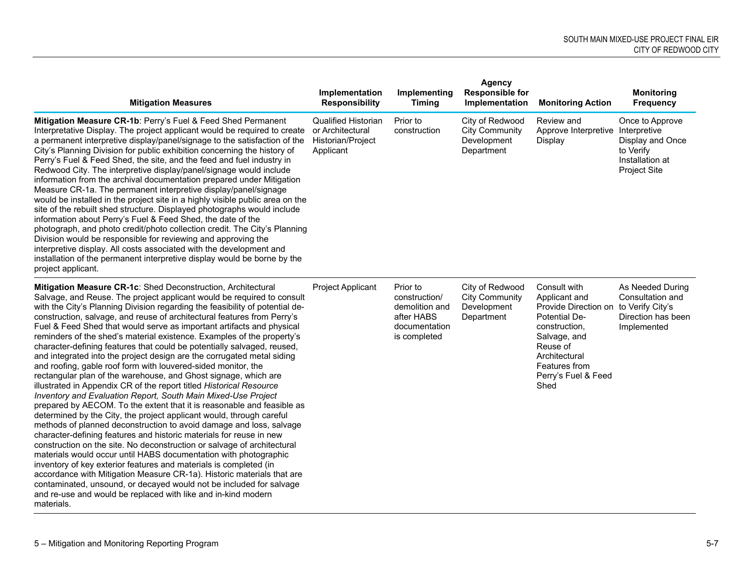| <b>Mitigation Measures</b>                                                                                                                                                                                                                                                                                                                                                                                                                                                                                                                                                                                                                                                                                                                                                                                                                                                                                                                                                                                                                                                                                                                                                                                                                                                                                                                                                                                                                                                                                                                                                                                                                | Implementation<br><b>Responsibility</b>                                          | Implementing<br><b>Timing</b>                                                              | <b>Agency</b><br><b>Responsible for</b><br>Implementation             | <b>Monitoring Action</b>                                                                                                                                                             | <b>Monitoring</b><br><b>Frequency</b>                                                         |
|-------------------------------------------------------------------------------------------------------------------------------------------------------------------------------------------------------------------------------------------------------------------------------------------------------------------------------------------------------------------------------------------------------------------------------------------------------------------------------------------------------------------------------------------------------------------------------------------------------------------------------------------------------------------------------------------------------------------------------------------------------------------------------------------------------------------------------------------------------------------------------------------------------------------------------------------------------------------------------------------------------------------------------------------------------------------------------------------------------------------------------------------------------------------------------------------------------------------------------------------------------------------------------------------------------------------------------------------------------------------------------------------------------------------------------------------------------------------------------------------------------------------------------------------------------------------------------------------------------------------------------------------|----------------------------------------------------------------------------------|--------------------------------------------------------------------------------------------|-----------------------------------------------------------------------|--------------------------------------------------------------------------------------------------------------------------------------------------------------------------------------|-----------------------------------------------------------------------------------------------|
| Mitigation Measure CR-1b: Perry's Fuel & Feed Shed Permanent<br>Interpretative Display. The project applicant would be required to create<br>a permanent interpretive display/panel/signage to the satisfaction of the<br>City's Planning Division for public exhibition concerning the history of<br>Perry's Fuel & Feed Shed, the site, and the feed and fuel industry in<br>Redwood City. The interpretive display/panel/signage would include<br>information from the archival documentation prepared under Mitigation<br>Measure CR-1a. The permanent interpretive display/panel/signage<br>would be installed in the project site in a highly visible public area on the<br>site of the rebuilt shed structure. Displayed photographs would include<br>information about Perry's Fuel & Feed Shed, the date of the<br>photograph, and photo credit/photo collection credit. The City's Planning<br>Division would be responsible for reviewing and approving the<br>interpretive display. All costs associated with the development and<br>installation of the permanent interpretive display would be borne by the<br>project applicant.                                                                                                                                                                                                                                                                                                                                                                                                                                                                                           | <b>Qualified Historian</b><br>or Architectural<br>Historian/Project<br>Applicant | Prior to<br>construction                                                                   | City of Redwood<br><b>City Community</b><br>Development<br>Department | Review and<br>Approve Interpretive Interpretive<br>Display                                                                                                                           | Once to Approve<br>Display and Once<br>to Verify<br>Installation at<br><b>Project Site</b>    |
| Mitigation Measure CR-1c: Shed Deconstruction, Architectural<br>Salvage, and Reuse. The project applicant would be required to consult<br>with the City's Planning Division regarding the feasibility of potential de-<br>construction, salvage, and reuse of architectural features from Perry's<br>Fuel & Feed Shed that would serve as important artifacts and physical<br>reminders of the shed's material existence. Examples of the property's<br>character-defining features that could be potentially salvaged, reused,<br>and integrated into the project design are the corrugated metal siding<br>and roofing, gable roof form with louvered-sided monitor, the<br>rectangular plan of the warehouse, and Ghost signage, which are<br>illustrated in Appendix CR of the report titled Historical Resource<br>Inventory and Evaluation Report, South Main Mixed-Use Project<br>prepared by AECOM. To the extent that it is reasonable and feasible as<br>determined by the City, the project applicant would, through careful<br>methods of planned deconstruction to avoid damage and loss, salvage<br>character-defining features and historic materials for reuse in new<br>construction on the site. No deconstruction or salvage of architectural<br>materials would occur until HABS documentation with photographic<br>inventory of key exterior features and materials is completed (in<br>accordance with Mitigation Measure CR-1a). Historic materials that are<br>contaminated, unsound, or decayed would not be included for salvage<br>and re-use and would be replaced with like and in-kind modern<br>materials. | Project Applicant                                                                | Prior to<br>construction/<br>demolition and<br>after HABS<br>documentation<br>is completed | City of Redwood<br><b>City Community</b><br>Development<br>Department | Consult with<br>Applicant and<br>Provide Direction on<br>Potential De-<br>construction,<br>Salvage, and<br>Reuse of<br>Architectural<br>Features from<br>Perry's Fuel & Feed<br>Shed | As Needed During<br>Consultation and<br>to Verify City's<br>Direction has been<br>Implemented |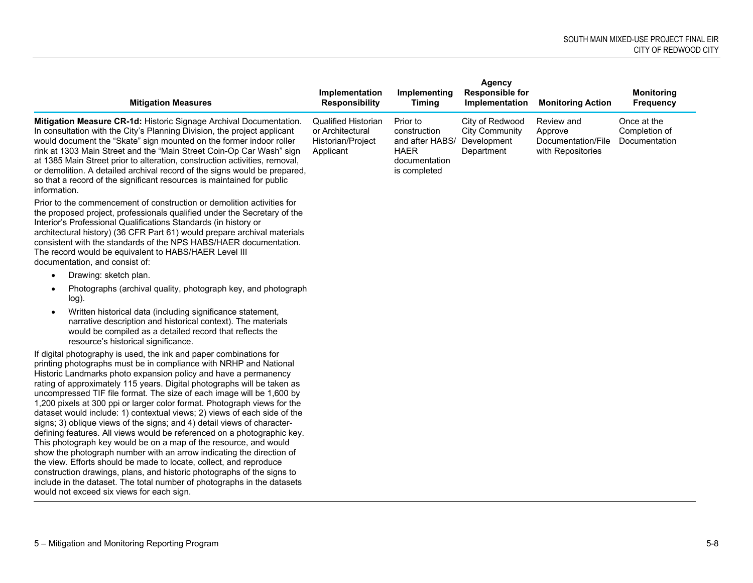|                                                                                                                                                                                                                                                                                                                                                                                                                                                                                                                                                                                                                                                                                                                                                                                                                                                                                                                                                                                                                                                                                                  |                                                                                  |                                                                                             | Agency                                                                |                                                                  |                                               |
|--------------------------------------------------------------------------------------------------------------------------------------------------------------------------------------------------------------------------------------------------------------------------------------------------------------------------------------------------------------------------------------------------------------------------------------------------------------------------------------------------------------------------------------------------------------------------------------------------------------------------------------------------------------------------------------------------------------------------------------------------------------------------------------------------------------------------------------------------------------------------------------------------------------------------------------------------------------------------------------------------------------------------------------------------------------------------------------------------|----------------------------------------------------------------------------------|---------------------------------------------------------------------------------------------|-----------------------------------------------------------------------|------------------------------------------------------------------|-----------------------------------------------|
| <b>Mitigation Measures</b>                                                                                                                                                                                                                                                                                                                                                                                                                                                                                                                                                                                                                                                                                                                                                                                                                                                                                                                                                                                                                                                                       | Implementation<br><b>Responsibility</b>                                          | Implementing<br><b>Timing</b>                                                               | <b>Responsible for</b><br>Implementation                              | <b>Monitoring Action</b>                                         | <b>Monitoring</b><br><b>Frequency</b>         |
| Mitigation Measure CR-1d: Historic Signage Archival Documentation.<br>In consultation with the City's Planning Division, the project applicant<br>would document the "Skate" sign mounted on the former indoor roller<br>rink at 1303 Main Street and the "Main Street Coin-Op Car Wash" sign<br>at 1385 Main Street prior to alteration, construction activities, removal,<br>or demolition. A detailed archival record of the signs would be prepared,<br>so that a record of the significant resources is maintained for public<br>information.                                                                                                                                                                                                                                                                                                                                                                                                                                                                                                                                               | <b>Qualified Historian</b><br>or Architectural<br>Historian/Project<br>Applicant | Prior to<br>construction<br>and after HABS/<br><b>HAER</b><br>documentation<br>is completed | City of Redwood<br><b>City Community</b><br>Development<br>Department | Review and<br>Approve<br>Documentation/File<br>with Repositories | Once at the<br>Completion of<br>Documentation |
| Prior to the commencement of construction or demolition activities for<br>the proposed project, professionals qualified under the Secretary of the<br>Interior's Professional Qualifications Standards (in history or<br>architectural history) (36 CFR Part 61) would prepare archival materials<br>consistent with the standards of the NPS HABS/HAER documentation.<br>The record would be equivalent to HABS/HAER Level III<br>documentation, and consist of:                                                                                                                                                                                                                                                                                                                                                                                                                                                                                                                                                                                                                                |                                                                                  |                                                                                             |                                                                       |                                                                  |                                               |
| Drawing: sketch plan.<br>$\bullet$                                                                                                                                                                                                                                                                                                                                                                                                                                                                                                                                                                                                                                                                                                                                                                                                                                                                                                                                                                                                                                                               |                                                                                  |                                                                                             |                                                                       |                                                                  |                                               |
| Photographs (archival quality, photograph key, and photograph<br>$\bullet$<br>log).                                                                                                                                                                                                                                                                                                                                                                                                                                                                                                                                                                                                                                                                                                                                                                                                                                                                                                                                                                                                              |                                                                                  |                                                                                             |                                                                       |                                                                  |                                               |
| Written historical data (including significance statement,<br>$\bullet$<br>narrative description and historical context). The materials<br>would be compiled as a detailed record that reflects the<br>resource's historical significance.                                                                                                                                                                                                                                                                                                                                                                                                                                                                                                                                                                                                                                                                                                                                                                                                                                                       |                                                                                  |                                                                                             |                                                                       |                                                                  |                                               |
| If digital photography is used, the ink and paper combinations for<br>printing photographs must be in compliance with NRHP and National<br>Historic Landmarks photo expansion policy and have a permanency<br>rating of approximately 115 years. Digital photographs will be taken as<br>uncompressed TIF file format. The size of each image will be 1,600 by<br>1,200 pixels at 300 ppi or larger color format. Photograph views for the<br>dataset would include: 1) contextual views; 2) views of each side of the<br>signs; 3) oblique views of the signs; and 4) detail views of character-<br>defining features. All views would be referenced on a photographic key.<br>This photograph key would be on a map of the resource, and would<br>show the photograph number with an arrow indicating the direction of<br>the view. Efforts should be made to locate, collect, and reproduce<br>construction drawings, plans, and historic photographs of the signs to<br>include in the dataset. The total number of photographs in the datasets<br>would not exceed six views for each sign. |                                                                                  |                                                                                             |                                                                       |                                                                  |                                               |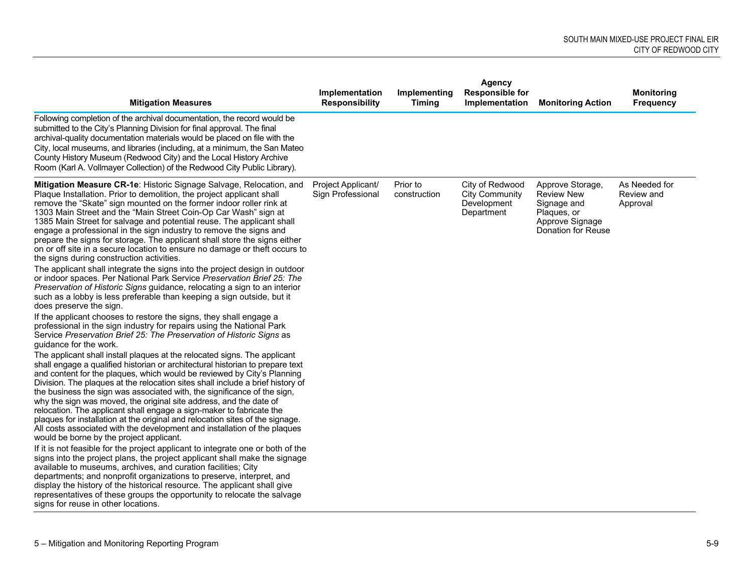| <b>Mitigation Measures</b>                                                                                                                                                                                                                                                                                                                                                                                                                                                                                                                                                                                                                                                                                                                                                                                                                                                                                                                                                                                                                                                                                                                                                                                                                                                                                                                                                                                                                                                                                                                                                                                                                                                                                                                                                                                                                                                                                                                                                                                                                                                                 | Implementation<br><b>Responsibility</b> | Implementing<br><b>Timing</b> | <b>Agency</b><br><b>Responsible for</b><br>Implementation             | <b>Monitoring Action</b>                                                                                            | <b>Monitoring</b><br><b>Frequency</b>   |
|--------------------------------------------------------------------------------------------------------------------------------------------------------------------------------------------------------------------------------------------------------------------------------------------------------------------------------------------------------------------------------------------------------------------------------------------------------------------------------------------------------------------------------------------------------------------------------------------------------------------------------------------------------------------------------------------------------------------------------------------------------------------------------------------------------------------------------------------------------------------------------------------------------------------------------------------------------------------------------------------------------------------------------------------------------------------------------------------------------------------------------------------------------------------------------------------------------------------------------------------------------------------------------------------------------------------------------------------------------------------------------------------------------------------------------------------------------------------------------------------------------------------------------------------------------------------------------------------------------------------------------------------------------------------------------------------------------------------------------------------------------------------------------------------------------------------------------------------------------------------------------------------------------------------------------------------------------------------------------------------------------------------------------------------------------------------------------------------|-----------------------------------------|-------------------------------|-----------------------------------------------------------------------|---------------------------------------------------------------------------------------------------------------------|-----------------------------------------|
| Following completion of the archival documentation, the record would be<br>submitted to the City's Planning Division for final approval. The final<br>archival-quality documentation materials would be placed on file with the<br>City, local museums, and libraries (including, at a minimum, the San Mateo<br>County History Museum (Redwood City) and the Local History Archive<br>Room (Karl A. Vollmayer Collection) of the Redwood City Public Library).                                                                                                                                                                                                                                                                                                                                                                                                                                                                                                                                                                                                                                                                                                                                                                                                                                                                                                                                                                                                                                                                                                                                                                                                                                                                                                                                                                                                                                                                                                                                                                                                                            |                                         |                               |                                                                       |                                                                                                                     |                                         |
| Mitigation Measure CR-1e: Historic Signage Salvage, Relocation, and<br>Plaque Installation. Prior to demolition, the project applicant shall<br>remove the "Skate" sign mounted on the former indoor roller rink at<br>1303 Main Street and the "Main Street Coin-Op Car Wash" sign at<br>1385 Main Street for salvage and potential reuse. The applicant shall<br>engage a professional in the sign industry to remove the signs and<br>prepare the signs for storage. The applicant shall store the signs either<br>on or off site in a secure location to ensure no damage or theft occurs to<br>the signs during construction activities.<br>The applicant shall integrate the signs into the project design in outdoor<br>or indoor spaces. Per National Park Service Preservation Brief 25: The<br>Preservation of Historic Signs guidance, relocating a sign to an interior<br>such as a lobby is less preferable than keeping a sign outside, but it<br>does preserve the sign.<br>If the applicant chooses to restore the signs, they shall engage a<br>professional in the sign industry for repairs using the National Park<br>Service Preservation Brief 25: The Preservation of Historic Signs as<br>quidance for the work.<br>The applicant shall install plaques at the relocated signs. The applicant<br>shall engage a qualified historian or architectural historian to prepare text<br>and content for the plaques, which would be reviewed by City's Planning<br>Division. The plaques at the relocation sites shall include a brief history of<br>the business the sign was associated with, the significance of the sign,<br>why the sign was moved, the original site address, and the date of<br>relocation. The applicant shall engage a sign-maker to fabricate the<br>plaques for installation at the original and relocation sites of the signage.<br>All costs associated with the development and installation of the plaques<br>would be borne by the project applicant.<br>If it is not feasible for the project applicant to integrate one or both of the | Project Applicant/<br>Sign Professional | Prior to<br>construction      | City of Redwood<br><b>City Community</b><br>Development<br>Department | Approve Storage,<br><b>Review New</b><br>Signage and<br>Plaques, or<br>Approve Signage<br><b>Donation for Reuse</b> | As Needed for<br>Review and<br>Approval |
| signs into the project plans, the project applicant shall make the signage<br>available to museums, archives, and curation facilities; City<br>departments; and nonprofit organizations to preserve, interpret, and<br>display the history of the historical resource. The applicant shall give<br>representatives of these groups the opportunity to relocate the salvage<br>signs for reuse in other locations.                                                                                                                                                                                                                                                                                                                                                                                                                                                                                                                                                                                                                                                                                                                                                                                                                                                                                                                                                                                                                                                                                                                                                                                                                                                                                                                                                                                                                                                                                                                                                                                                                                                                          |                                         |                               |                                                                       |                                                                                                                     |                                         |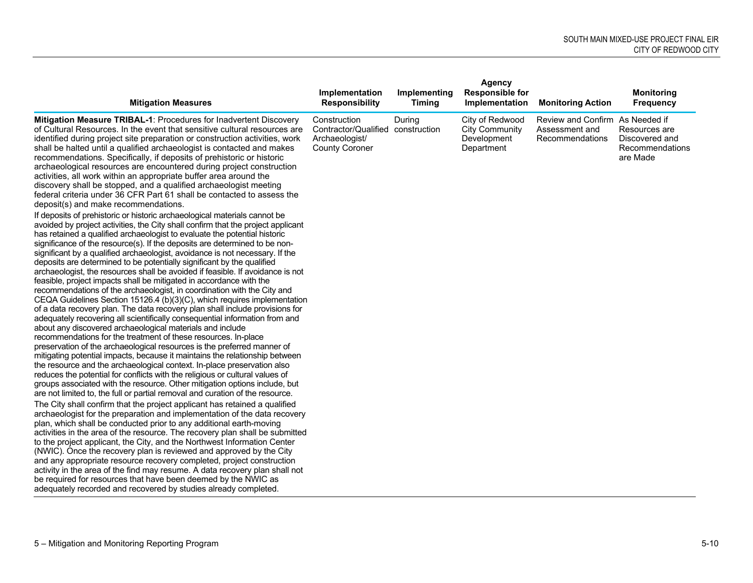|                                                                                                                                                                                                                                                                                                                                                                                                                                                                                                                                                                                                                                                                                                                                                                                                                                                                                                                                                                                                                                                                                                                                                                                                                                                                                                                                                                                                                                                                                                                                                                                                                                                                    |                                                                                              |                               | Agency                                                                |                                                                      |                                                                |
|--------------------------------------------------------------------------------------------------------------------------------------------------------------------------------------------------------------------------------------------------------------------------------------------------------------------------------------------------------------------------------------------------------------------------------------------------------------------------------------------------------------------------------------------------------------------------------------------------------------------------------------------------------------------------------------------------------------------------------------------------------------------------------------------------------------------------------------------------------------------------------------------------------------------------------------------------------------------------------------------------------------------------------------------------------------------------------------------------------------------------------------------------------------------------------------------------------------------------------------------------------------------------------------------------------------------------------------------------------------------------------------------------------------------------------------------------------------------------------------------------------------------------------------------------------------------------------------------------------------------------------------------------------------------|----------------------------------------------------------------------------------------------|-------------------------------|-----------------------------------------------------------------------|----------------------------------------------------------------------|----------------------------------------------------------------|
| <b>Mitigation Measures</b>                                                                                                                                                                                                                                                                                                                                                                                                                                                                                                                                                                                                                                                                                                                                                                                                                                                                                                                                                                                                                                                                                                                                                                                                                                                                                                                                                                                                                                                                                                                                                                                                                                         | Implementation<br><b>Responsibility</b>                                                      | Implementing<br><b>Timing</b> | <b>Responsible for</b><br>Implementation                              | <b>Monitoring Action</b>                                             | <b>Monitoring</b><br><b>Frequency</b>                          |
| <b>Mitigation Measure TRIBAL-1: Procedures for Inadvertent Discovery</b><br>of Cultural Resources. In the event that sensitive cultural resources are<br>identified during project site preparation or construction activities, work<br>shall be halted until a qualified archaeologist is contacted and makes<br>recommendations. Specifically, if deposits of prehistoric or historic<br>archaeological resources are encountered during project construction<br>activities, all work within an appropriate buffer area around the<br>discovery shall be stopped, and a qualified archaeologist meeting<br>federal criteria under 36 CFR Part 61 shall be contacted to assess the<br>deposit(s) and make recommendations.                                                                                                                                                                                                                                                                                                                                                                                                                                                                                                                                                                                                                                                                                                                                                                                                                                                                                                                                        | Construction<br>Contractor/Qualified construction<br>Archaeologist/<br><b>County Coroner</b> | During                        | City of Redwood<br><b>City Community</b><br>Development<br>Department | Review and Confirm As Needed if<br>Assessment and<br>Recommendations | Resources are<br>Discovered and<br>Recommendations<br>are Made |
| If deposits of prehistoric or historic archaeological materials cannot be<br>avoided by project activities, the City shall confirm that the project applicant<br>has retained a qualified archaeologist to evaluate the potential historic<br>significance of the resource(s). If the deposits are determined to be non-<br>significant by a qualified archaeologist, avoidance is not necessary. If the<br>deposits are determined to be potentially significant by the qualified<br>archaeologist, the resources shall be avoided if feasible. If avoidance is not<br>feasible, project impacts shall be mitigated in accordance with the<br>recommendations of the archaeologist, in coordination with the City and<br>CEQA Guidelines Section 15126.4 (b)(3)(C), which requires implementation<br>of a data recovery plan. The data recovery plan shall include provisions for<br>adequately recovering all scientifically consequential information from and<br>about any discovered archaeological materials and include<br>recommendations for the treatment of these resources. In-place<br>preservation of the archaeological resources is the preferred manner of<br>mitigating potential impacts, because it maintains the relationship between<br>the resource and the archaeological context. In-place preservation also<br>reduces the potential for conflicts with the religious or cultural values of<br>groups associated with the resource. Other mitigation options include, but<br>are not limited to, the full or partial removal and curation of the resource.<br>The City shall confirm that the project applicant has retained a qualified |                                                                                              |                               |                                                                       |                                                                      |                                                                |
| archaeologist for the preparation and implementation of the data recovery<br>plan, which shall be conducted prior to any additional earth-moving<br>activities in the area of the resource. The recovery plan shall be submitted<br>to the project applicant, the City, and the Northwest Information Center<br>(NWIC). Once the recovery plan is reviewed and approved by the City<br>and any appropriate resource recovery completed, project construction<br>activity in the area of the find may resume. A data recovery plan shall not<br>be required for resources that have been deemed by the NWIC as<br>adequately recorded and recovered by studies already completed.                                                                                                                                                                                                                                                                                                                                                                                                                                                                                                                                                                                                                                                                                                                                                                                                                                                                                                                                                                                   |                                                                                              |                               |                                                                       |                                                                      |                                                                |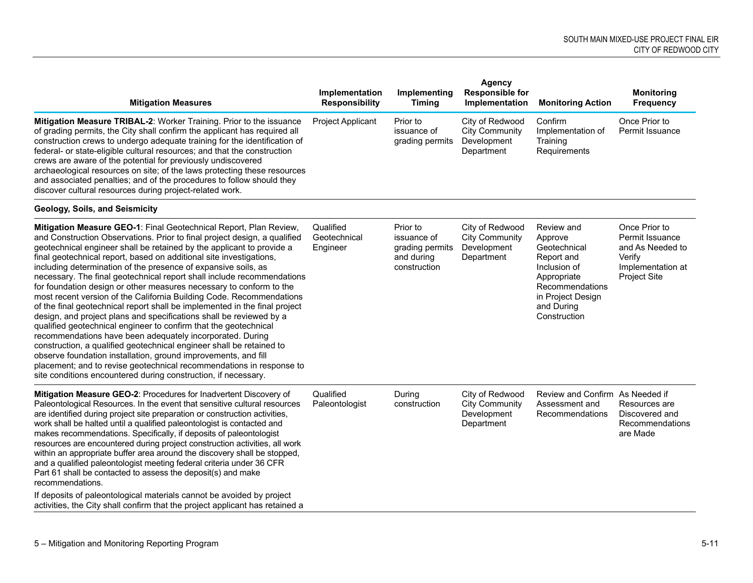| <b>Mitigation Measures</b>                                                                                                                                                                                                                                                                                                                                                                                                                                                                                                                                                                                                                                                                                                                                                                                                                                                                                                                                                                                                                                                                                                                                          | Implementation<br><b>Responsibility</b> | Implementing<br><b>Timing</b>                                            | <b>Agency</b><br><b>Responsible for</b><br>Implementation             | <b>Monitoring Action</b>                                                                                                                                 | <b>Monitoring</b><br><b>Frequency</b>                                                                      |
|---------------------------------------------------------------------------------------------------------------------------------------------------------------------------------------------------------------------------------------------------------------------------------------------------------------------------------------------------------------------------------------------------------------------------------------------------------------------------------------------------------------------------------------------------------------------------------------------------------------------------------------------------------------------------------------------------------------------------------------------------------------------------------------------------------------------------------------------------------------------------------------------------------------------------------------------------------------------------------------------------------------------------------------------------------------------------------------------------------------------------------------------------------------------|-----------------------------------------|--------------------------------------------------------------------------|-----------------------------------------------------------------------|----------------------------------------------------------------------------------------------------------------------------------------------------------|------------------------------------------------------------------------------------------------------------|
| Mitigation Measure TRIBAL-2: Worker Training. Prior to the issuance<br>of grading permits, the City shall confirm the applicant has required all<br>construction crews to undergo adequate training for the identification of<br>federal- or state-eligible cultural resources; and that the construction<br>crews are aware of the potential for previously undiscovered<br>archaeological resources on site; of the laws protecting these resources<br>and associated penalties; and of the procedures to follow should they<br>discover cultural resources during project-related work.                                                                                                                                                                                                                                                                                                                                                                                                                                                                                                                                                                          | Project Applicant                       | Prior to<br>issuance of<br>grading permits                               | City of Redwood<br><b>City Community</b><br>Development<br>Department | Confirm<br>Implementation of<br>Training<br>Requirements                                                                                                 | Once Prior to<br>Permit Issuance                                                                           |
| Geology, Soils, and Seismicity                                                                                                                                                                                                                                                                                                                                                                                                                                                                                                                                                                                                                                                                                                                                                                                                                                                                                                                                                                                                                                                                                                                                      |                                         |                                                                          |                                                                       |                                                                                                                                                          |                                                                                                            |
| Mitigation Measure GEO-1: Final Geotechnical Report, Plan Review,<br>and Construction Observations. Prior to final project design, a qualified<br>geotechnical engineer shall be retained by the applicant to provide a<br>final geotechnical report, based on additional site investigations,<br>including determination of the presence of expansive soils, as<br>necessary. The final geotechnical report shall include recommendations<br>for foundation design or other measures necessary to conform to the<br>most recent version of the California Building Code. Recommendations<br>of the final geotechnical report shall be implemented in the final project<br>design, and project plans and specifications shall be reviewed by a<br>qualified geotechnical engineer to confirm that the geotechnical<br>recommendations have been adequately incorporated. During<br>construction, a qualified geotechnical engineer shall be retained to<br>observe foundation installation, ground improvements, and fill<br>placement; and to revise geotechnical recommendations in response to<br>site conditions encountered during construction, if necessary. | Qualified<br>Geotechnical<br>Engineer   | Prior to<br>issuance of<br>grading permits<br>and during<br>construction | City of Redwood<br><b>City Community</b><br>Development<br>Department | Review and<br>Approve<br>Geotechnical<br>Report and<br>Inclusion of<br>Appropriate<br>Recommendations<br>in Project Design<br>and During<br>Construction | Once Prior to<br>Permit Issuance<br>and As Needed to<br>Verify<br>Implementation at<br><b>Project Site</b> |
| Mitigation Measure GEO-2: Procedures for Inadvertent Discovery of<br>Paleontological Resources. In the event that sensitive cultural resources<br>are identified during project site preparation or construction activities,<br>work shall be halted until a qualified paleontologist is contacted and<br>makes recommendations. Specifically, if deposits of paleontologist<br>resources are encountered during project construction activities, all work<br>within an appropriate buffer area around the discovery shall be stopped,<br>and a qualified paleontologist meeting federal criteria under 36 CFR<br>Part 61 shall be contacted to assess the deposit(s) and make<br>recommendations.<br>If deposits of paleontological materials cannot be avoided by project<br>activities, the City shall confirm that the project applicant has retained a                                                                                                                                                                                                                                                                                                         | Qualified<br>Paleontologist             | During<br>construction                                                   | City of Redwood<br><b>City Community</b><br>Development<br>Department | Review and Confirm As Needed if<br>Assessment and<br>Recommendations                                                                                     | Resources are<br>Discovered and<br>Recommendations<br>are Made                                             |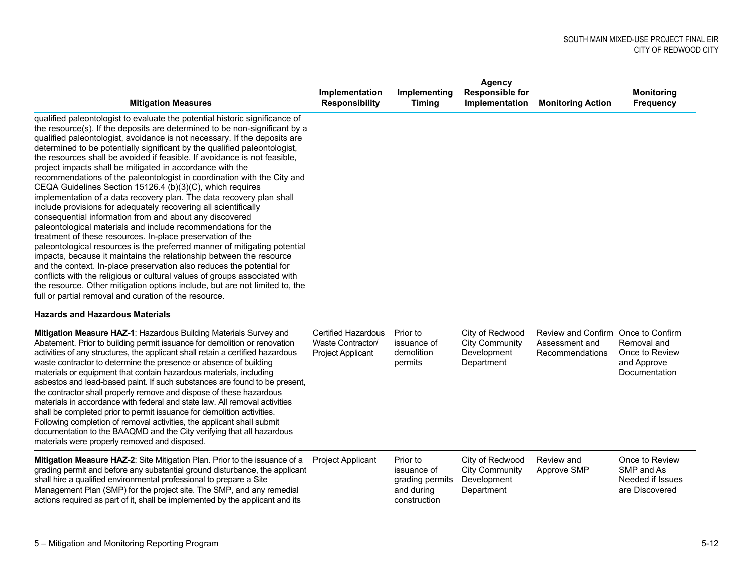|                                                                                                                                                                                                                                                                                                                                                                                                                                                                                                                                                                                                                                                                                                                                                                                                                                                                                                                                                                                                                                                                                                                                                                                                                                                                                                                                                                                              | <b>Implementation</b> | Implementing | Agency<br><b>Responsible for</b> |                          | <b>Monitoring</b> |
|----------------------------------------------------------------------------------------------------------------------------------------------------------------------------------------------------------------------------------------------------------------------------------------------------------------------------------------------------------------------------------------------------------------------------------------------------------------------------------------------------------------------------------------------------------------------------------------------------------------------------------------------------------------------------------------------------------------------------------------------------------------------------------------------------------------------------------------------------------------------------------------------------------------------------------------------------------------------------------------------------------------------------------------------------------------------------------------------------------------------------------------------------------------------------------------------------------------------------------------------------------------------------------------------------------------------------------------------------------------------------------------------|-----------------------|--------------|----------------------------------|--------------------------|-------------------|
| <b>Mitigation Measures</b>                                                                                                                                                                                                                                                                                                                                                                                                                                                                                                                                                                                                                                                                                                                                                                                                                                                                                                                                                                                                                                                                                                                                                                                                                                                                                                                                                                   | <b>Responsibility</b> | Timing       | Implementation                   | <b>Monitoring Action</b> | <b>Frequency</b>  |
| qualified paleontologist to evaluate the potential historic significance of<br>the resource(s). If the deposits are determined to be non-significant by a<br>qualified paleontologist, avoidance is not necessary. If the deposits are<br>determined to be potentially significant by the qualified paleontologist,<br>the resources shall be avoided if feasible. If avoidance is not feasible,<br>project impacts shall be mitigated in accordance with the<br>recommendations of the paleontologist in coordination with the City and<br>CEQA Guidelines Section 15126.4 (b)(3)(C), which requires<br>implementation of a data recovery plan. The data recovery plan shall<br>include provisions for adequately recovering all scientifically<br>consequential information from and about any discovered<br>paleontological materials and include recommendations for the<br>treatment of these resources. In-place preservation of the<br>paleontological resources is the preferred manner of mitigating potential<br>impacts, because it maintains the relationship between the resource<br>and the context. In-place preservation also reduces the potential for<br>conflicts with the religious or cultural values of groups associated with<br>the resource. Other mitigation options include, but are not limited to, the<br>full or partial removal and curation of the resource. |                       |              |                                  |                          |                   |

#### **Hazards and Hazardous Materials**

| <b>Mitigation Measure HAZ-1: Hazardous Building Materials Survey and</b><br>Abatement. Prior to building permit issuance for demolition or renovation<br>activities of any structures, the applicant shall retain a certified hazardous<br>waste contractor to determine the presence or absence of building<br>materials or equipment that contain hazardous materials, including<br>asbestos and lead-based paint. If such substances are found to be present,<br>the contractor shall properly remove and dispose of these hazardous<br>materials in accordance with federal and state law. All removal activities<br>shall be completed prior to permit issuance for demolition activities.<br>Following completion of removal activities, the applicant shall submit<br>documentation to the BAAQMD and the City verifying that all hazardous<br>materials were properly removed and disposed. | Certified Hazardous<br>Waste Contractor/<br>Project Applicant | Prior to<br>issuance of<br>demolition<br>permits                         | City of Redwood<br><b>City Community</b><br>Development<br>Department | Review and Confirm<br>Assessment and<br>Recommendations | Once to Confirm<br>Removal and<br>Once to Review<br>and Approve<br><b>Documentation</b> |
|-----------------------------------------------------------------------------------------------------------------------------------------------------------------------------------------------------------------------------------------------------------------------------------------------------------------------------------------------------------------------------------------------------------------------------------------------------------------------------------------------------------------------------------------------------------------------------------------------------------------------------------------------------------------------------------------------------------------------------------------------------------------------------------------------------------------------------------------------------------------------------------------------------|---------------------------------------------------------------|--------------------------------------------------------------------------|-----------------------------------------------------------------------|---------------------------------------------------------|-----------------------------------------------------------------------------------------|
| <b>Mitigation Measure HAZ-2:</b> Site Mitigation Plan. Prior to the issuance of a<br>grading permit and before any substantial ground disturbance, the applicant<br>shall hire a qualified environmental professional to prepare a Site<br>Management Plan (SMP) for the project site. The SMP, and any remedial<br>actions required as part of it, shall be implemented by the applicant and its                                                                                                                                                                                                                                                                                                                                                                                                                                                                                                   | <b>Project Applicant</b>                                      | Prior to<br>issuance of<br>grading permits<br>and during<br>construction | City of Redwood<br><b>City Community</b><br>Development<br>Department | Review and<br>Approve SMP                               | Once to Review<br>SMP and As<br>Needed if Issues<br>are Discovered                      |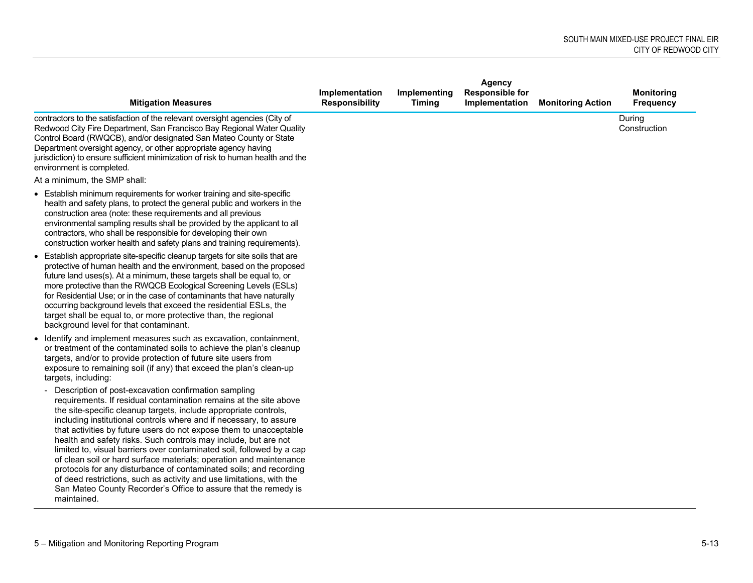|                                                                                                                                                                                                                                                                                                                                                                                                                                                                                                                                                                                                                                                                                                                                                                                             |                                         |                               | <b>Agency</b>                            |                          |                                       |
|---------------------------------------------------------------------------------------------------------------------------------------------------------------------------------------------------------------------------------------------------------------------------------------------------------------------------------------------------------------------------------------------------------------------------------------------------------------------------------------------------------------------------------------------------------------------------------------------------------------------------------------------------------------------------------------------------------------------------------------------------------------------------------------------|-----------------------------------------|-------------------------------|------------------------------------------|--------------------------|---------------------------------------|
| <b>Mitigation Measures</b>                                                                                                                                                                                                                                                                                                                                                                                                                                                                                                                                                                                                                                                                                                                                                                  | Implementation<br><b>Responsibility</b> | Implementing<br><b>Timing</b> | <b>Responsible for</b><br>Implementation | <b>Monitoring Action</b> | <b>Monitoring</b><br><b>Frequency</b> |
| contractors to the satisfaction of the relevant oversight agencies (City of<br>Redwood City Fire Department, San Francisco Bay Regional Water Quality<br>Control Board (RWQCB), and/or designated San Mateo County or State<br>Department oversight agency, or other appropriate agency having<br>jurisdiction) to ensure sufficient minimization of risk to human health and the<br>environment is completed.                                                                                                                                                                                                                                                                                                                                                                              |                                         |                               |                                          |                          | During<br>Construction                |
| At a minimum, the SMP shall:                                                                                                                                                                                                                                                                                                                                                                                                                                                                                                                                                                                                                                                                                                                                                                |                                         |                               |                                          |                          |                                       |
| • Establish minimum requirements for worker training and site-specific<br>health and safety plans, to protect the general public and workers in the<br>construction area (note: these requirements and all previous<br>environmental sampling results shall be provided by the applicant to all<br>contractors, who shall be responsible for developing their own<br>construction worker health and safety plans and training requirements).                                                                                                                                                                                                                                                                                                                                                |                                         |                               |                                          |                          |                                       |
| • Establish appropriate site-specific cleanup targets for site soils that are<br>protective of human health and the environment, based on the proposed<br>future land uses(s). At a minimum, these targets shall be equal to, or<br>more protective than the RWQCB Ecological Screening Levels (ESLs)<br>for Residential Use; or in the case of contaminants that have naturally<br>occurring background levels that exceed the residential ESLs, the<br>target shall be equal to, or more protective than, the regional<br>background level for that contaminant.                                                                                                                                                                                                                          |                                         |                               |                                          |                          |                                       |
| • Identify and implement measures such as excavation, containment,<br>or treatment of the contaminated soils to achieve the plan's cleanup<br>targets, and/or to provide protection of future site users from<br>exposure to remaining soil (if any) that exceed the plan's clean-up<br>targets, including:                                                                                                                                                                                                                                                                                                                                                                                                                                                                                 |                                         |                               |                                          |                          |                                       |
| Description of post-excavation confirmation sampling<br>requirements. If residual contamination remains at the site above<br>the site-specific cleanup targets, include appropriate controls,<br>including institutional controls where and if necessary, to assure<br>that activities by future users do not expose them to unacceptable<br>health and safety risks. Such controls may include, but are not<br>limited to, visual barriers over contaminated soil, followed by a cap<br>of clean soil or hard surface materials; operation and maintenance<br>protocols for any disturbance of contaminated soils; and recording<br>of deed restrictions, such as activity and use limitations, with the<br>San Mateo County Recorder's Office to assure that the remedy is<br>maintained. |                                         |                               |                                          |                          |                                       |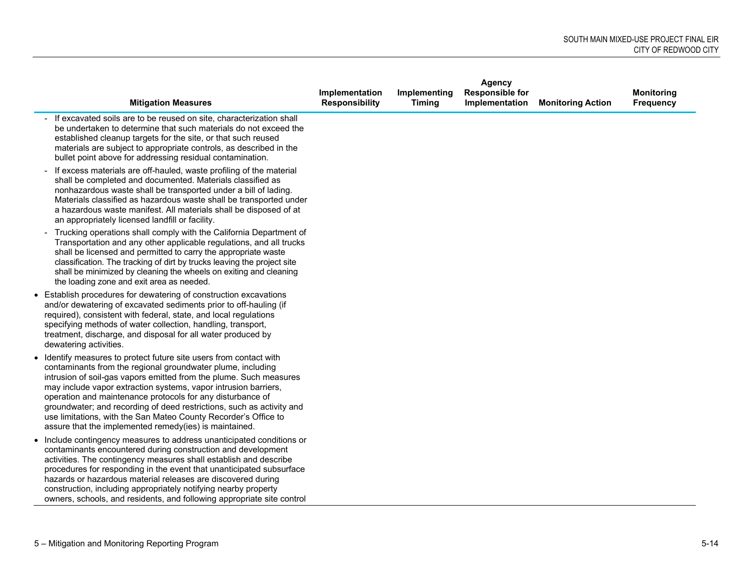|                                                                                                                                                                                                                                                                                                                                                                                                                                                                                                                                                |                                         |                               | <b>Agency</b>                            |                          |                                       |
|------------------------------------------------------------------------------------------------------------------------------------------------------------------------------------------------------------------------------------------------------------------------------------------------------------------------------------------------------------------------------------------------------------------------------------------------------------------------------------------------------------------------------------------------|-----------------------------------------|-------------------------------|------------------------------------------|--------------------------|---------------------------------------|
| <b>Mitigation Measures</b>                                                                                                                                                                                                                                                                                                                                                                                                                                                                                                                     | Implementation<br><b>Responsibility</b> | Implementing<br><b>Timing</b> | <b>Responsible for</b><br>Implementation | <b>Monitoring Action</b> | <b>Monitoring</b><br><b>Frequency</b> |
| If excavated soils are to be reused on site, characterization shall<br>be undertaken to determine that such materials do not exceed the<br>established cleanup targets for the site, or that such reused<br>materials are subject to appropriate controls, as described in the<br>bullet point above for addressing residual contamination.                                                                                                                                                                                                    |                                         |                               |                                          |                          |                                       |
| If excess materials are off-hauled, waste profiling of the material<br>shall be completed and documented. Materials classified as<br>nonhazardous waste shall be transported under a bill of lading.<br>Materials classified as hazardous waste shall be transported under<br>a hazardous waste manifest. All materials shall be disposed of at<br>an appropriately licensed landfill or facility.                                                                                                                                             |                                         |                               |                                          |                          |                                       |
| Trucking operations shall comply with the California Department of<br>Transportation and any other applicable regulations, and all trucks<br>shall be licensed and permitted to carry the appropriate waste<br>classification. The tracking of dirt by trucks leaving the project site<br>shall be minimized by cleaning the wheels on exiting and cleaning<br>the loading zone and exit area as needed.                                                                                                                                       |                                         |                               |                                          |                          |                                       |
| • Establish procedures for dewatering of construction excavations<br>and/or dewatering of excavated sediments prior to off-hauling (if<br>required), consistent with federal, state, and local regulations<br>specifying methods of water collection, handling, transport,<br>treatment, discharge, and disposal for all water produced by<br>dewatering activities.                                                                                                                                                                           |                                         |                               |                                          |                          |                                       |
| • Identify measures to protect future site users from contact with<br>contaminants from the regional groundwater plume, including<br>intrusion of soil-gas vapors emitted from the plume. Such measures<br>may include vapor extraction systems, vapor intrusion barriers,<br>operation and maintenance protocols for any disturbance of<br>groundwater; and recording of deed restrictions, such as activity and<br>use limitations, with the San Mateo County Recorder's Office to<br>assure that the implemented remedy(ies) is maintained. |                                         |                               |                                          |                          |                                       |
| • Include contingency measures to address unanticipated conditions or<br>contaminants encountered during construction and development<br>activities. The contingency measures shall establish and describe<br>procedures for responding in the event that unanticipated subsurface<br>hazards or hazardous material releases are discovered during<br>construction, including appropriately notifying nearby property<br>owners, schools, and residents, and following appropriate site control                                                |                                         |                               |                                          |                          |                                       |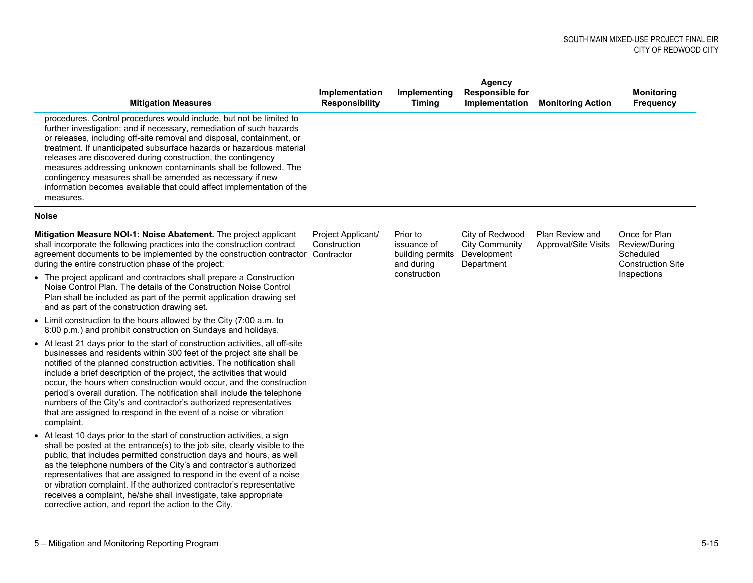| <b>Mitigation Measures</b>                                                                                                                                                                                                                                                                                                                                                                                                                                                                                                                                                                                             | Implementation<br><b>Responsibility</b> | Implementing<br><b>Timing</b>                             | Agency<br><b>Responsible for</b><br>Implementation                    | <b>Monitoring Action</b>                | <b>Monitoring</b><br><b>Frequency</b>                                   |
|------------------------------------------------------------------------------------------------------------------------------------------------------------------------------------------------------------------------------------------------------------------------------------------------------------------------------------------------------------------------------------------------------------------------------------------------------------------------------------------------------------------------------------------------------------------------------------------------------------------------|-----------------------------------------|-----------------------------------------------------------|-----------------------------------------------------------------------|-----------------------------------------|-------------------------------------------------------------------------|
| procedures. Control procedures would include, but not be limited to<br>further investigation; and if necessary, remediation of such hazards<br>or releases, including off-site removal and disposal, containment, or<br>treatment. If unanticipated subsurface hazards or hazardous material<br>releases are discovered during construction, the contingency<br>measures addressing unknown contaminants shall be followed. The<br>contingency measures shall be amended as necessary if new<br>information becomes available that could affect implementation of the<br>measures.                                     |                                         |                                                           |                                                                       |                                         |                                                                         |
| <b>Noise</b>                                                                                                                                                                                                                                                                                                                                                                                                                                                                                                                                                                                                           |                                         |                                                           |                                                                       |                                         |                                                                         |
| Mitigation Measure NOI-1: Noise Abatement. The project applicant<br>shall incorporate the following practices into the construction contract<br>agreement documents to be implemented by the construction contractor Contractor<br>during the entire construction phase of the project:                                                                                                                                                                                                                                                                                                                                | Project Applicant/<br>Construction      | Prior to<br>issuance of<br>building permits<br>and during | City of Redwood<br><b>City Community</b><br>Development<br>Department | Plan Review and<br>Approval/Site Visits | Once for Plan<br>Review/During<br>Scheduled<br><b>Construction Site</b> |
| • The project applicant and contractors shall prepare a Construction<br>Noise Control Plan. The details of the Construction Noise Control<br>Plan shall be included as part of the permit application drawing set<br>and as part of the construction drawing set.                                                                                                                                                                                                                                                                                                                                                      |                                         | construction                                              |                                                                       |                                         | Inspections                                                             |
| • Limit construction to the hours allowed by the City (7:00 a.m. to<br>8:00 p.m.) and prohibit construction on Sundays and holidays.                                                                                                                                                                                                                                                                                                                                                                                                                                                                                   |                                         |                                                           |                                                                       |                                         |                                                                         |
| • At least 21 days prior to the start of construction activities, all off-site<br>businesses and residents within 300 feet of the project site shall be<br>notified of the planned construction activities. The notification shall<br>include a brief description of the project, the activities that would<br>occur, the hours when construction would occur, and the construction<br>period's overall duration. The notification shall include the telephone<br>numbers of the City's and contractor's authorized representatives<br>that are assigned to respond in the event of a noise or vibration<br>complaint. |                                         |                                                           |                                                                       |                                         |                                                                         |
| • At least 10 days prior to the start of construction activities, a sign<br>shall be posted at the entrance(s) to the job site, clearly visible to the<br>public, that includes permitted construction days and hours, as well<br>as the telephone numbers of the City's and contractor's authorized<br>representatives that are assigned to respond in the event of a noise<br>or vibration complaint. If the authorized contractor's representative<br>receives a complaint, he/she shall investigate, take appropriate<br>corrective action, and report the action to the City.                                     |                                         |                                                           |                                                                       |                                         |                                                                         |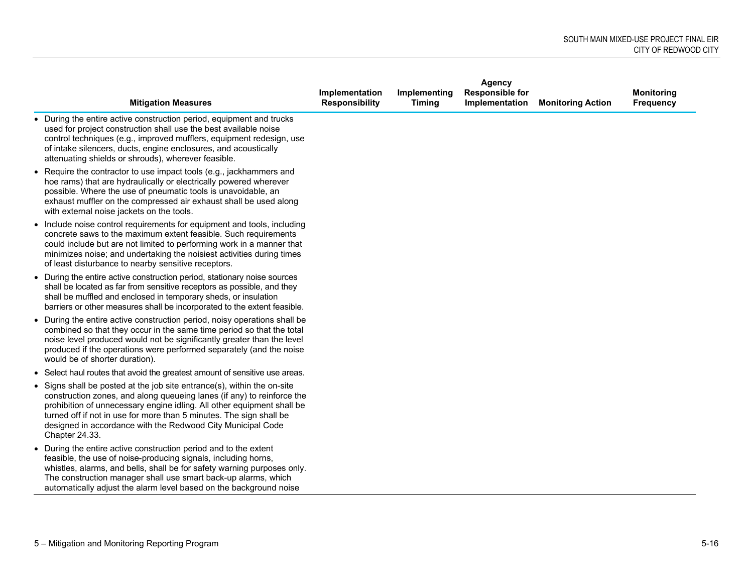|                                                                                                                                                                                                                                                                                                                                                                                     | Agency                                  |                               |                                          |                          |                                       |  |
|-------------------------------------------------------------------------------------------------------------------------------------------------------------------------------------------------------------------------------------------------------------------------------------------------------------------------------------------------------------------------------------|-----------------------------------------|-------------------------------|------------------------------------------|--------------------------|---------------------------------------|--|
| <b>Mitigation Measures</b>                                                                                                                                                                                                                                                                                                                                                          | Implementation<br><b>Responsibility</b> | Implementing<br><b>Timing</b> | <b>Responsible for</b><br>Implementation | <b>Monitoring Action</b> | <b>Monitoring</b><br><b>Frequency</b> |  |
| • During the entire active construction period, equipment and trucks<br>used for project construction shall use the best available noise<br>control techniques (e.g., improved mufflers, equipment redesign, use<br>of intake silencers, ducts, engine enclosures, and acoustically<br>attenuating shields or shrouds), wherever feasible.                                          |                                         |                               |                                          |                          |                                       |  |
| • Require the contractor to use impact tools (e.g., jackhammers and<br>hoe rams) that are hydraulically or electrically powered wherever<br>possible. Where the use of pneumatic tools is unavoidable, an<br>exhaust muffler on the compressed air exhaust shall be used along<br>with external noise jackets on the tools.                                                         |                                         |                               |                                          |                          |                                       |  |
| • Include noise control requirements for equipment and tools, including<br>concrete saws to the maximum extent feasible. Such requirements<br>could include but are not limited to performing work in a manner that<br>minimizes noise; and undertaking the noisiest activities during times<br>of least disturbance to nearby sensitive receptors.                                 |                                         |                               |                                          |                          |                                       |  |
| • During the entire active construction period, stationary noise sources<br>shall be located as far from sensitive receptors as possible, and they<br>shall be muffled and enclosed in temporary sheds, or insulation<br>barriers or other measures shall be incorporated to the extent feasible.                                                                                   |                                         |                               |                                          |                          |                                       |  |
| • During the entire active construction period, noisy operations shall be<br>combined so that they occur in the same time period so that the total<br>noise level produced would not be significantly greater than the level<br>produced if the operations were performed separately (and the noise<br>would be of shorter duration).                                               |                                         |                               |                                          |                          |                                       |  |
| • Select haul routes that avoid the greatest amount of sensitive use areas.                                                                                                                                                                                                                                                                                                         |                                         |                               |                                          |                          |                                       |  |
| • Signs shall be posted at the job site entrance(s), within the on-site<br>construction zones, and along queueing lanes (if any) to reinforce the<br>prohibition of unnecessary engine idling. All other equipment shall be<br>turned off if not in use for more than 5 minutes. The sign shall be<br>designed in accordance with the Redwood City Municipal Code<br>Chapter 24.33. |                                         |                               |                                          |                          |                                       |  |
| • During the entire active construction period and to the extent<br>feasible, the use of noise-producing signals, including horns,<br>whistles, alarms, and bells, shall be for safety warning purposes only.<br>The construction manager shall use smart back-up alarms, which<br>automatically adjust the alarm level based on the background noise                               |                                         |                               |                                          |                          |                                       |  |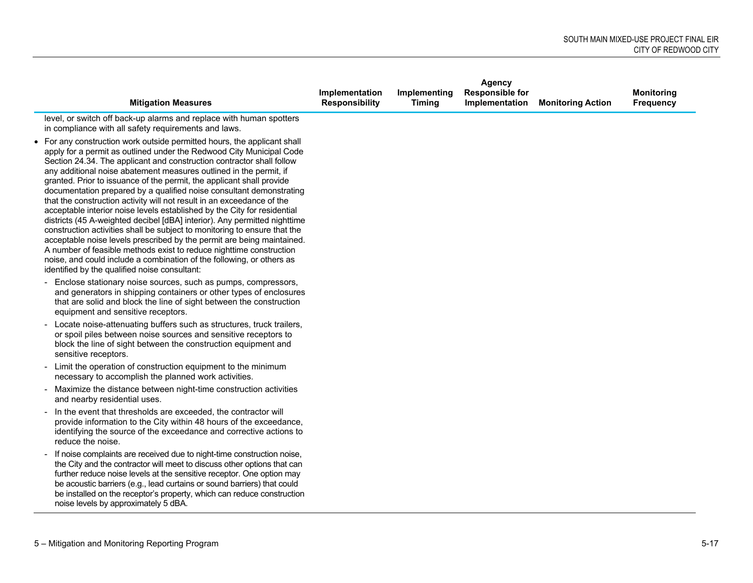|                                                                                                                                                                                                                                                                                                                                                                                                                                                                                                                                                                                                                                                                                                                                                                                                                                                                                                                                                                                                                                             |                                         |                               | <b>Agency</b>                            |                          |                                |
|---------------------------------------------------------------------------------------------------------------------------------------------------------------------------------------------------------------------------------------------------------------------------------------------------------------------------------------------------------------------------------------------------------------------------------------------------------------------------------------------------------------------------------------------------------------------------------------------------------------------------------------------------------------------------------------------------------------------------------------------------------------------------------------------------------------------------------------------------------------------------------------------------------------------------------------------------------------------------------------------------------------------------------------------|-----------------------------------------|-------------------------------|------------------------------------------|--------------------------|--------------------------------|
| <b>Mitigation Measures</b>                                                                                                                                                                                                                                                                                                                                                                                                                                                                                                                                                                                                                                                                                                                                                                                                                                                                                                                                                                                                                  | Implementation<br><b>Responsibility</b> | Implementing<br><b>Timing</b> | <b>Responsible for</b><br>Implementation | <b>Monitoring Action</b> | <b>Monitoring</b><br>Frequency |
| level, or switch off back-up alarms and replace with human spotters<br>in compliance with all safety requirements and laws.                                                                                                                                                                                                                                                                                                                                                                                                                                                                                                                                                                                                                                                                                                                                                                                                                                                                                                                 |                                         |                               |                                          |                          |                                |
| • For any construction work outside permitted hours, the applicant shall<br>apply for a permit as outlined under the Redwood City Municipal Code<br>Section 24.34. The applicant and construction contractor shall follow<br>any additional noise abatement measures outlined in the permit, if<br>granted. Prior to issuance of the permit, the applicant shall provide<br>documentation prepared by a qualified noise consultant demonstrating<br>that the construction activity will not result in an exceedance of the<br>acceptable interior noise levels established by the City for residential<br>districts (45 A-weighted decibel [dBA] interior). Any permitted nighttime<br>construction activities shall be subject to monitoring to ensure that the<br>acceptable noise levels prescribed by the permit are being maintained.<br>A number of feasible methods exist to reduce nighttime construction<br>noise, and could include a combination of the following, or others as<br>identified by the qualified noise consultant: |                                         |                               |                                          |                          |                                |
| - Enclose stationary noise sources, such as pumps, compressors,<br>and generators in shipping containers or other types of enclosures<br>that are solid and block the line of sight between the construction<br>equipment and sensitive receptors.                                                                                                                                                                                                                                                                                                                                                                                                                                                                                                                                                                                                                                                                                                                                                                                          |                                         |                               |                                          |                          |                                |
| - Locate noise-attenuating buffers such as structures, truck trailers,<br>or spoil piles between noise sources and sensitive receptors to<br>block the line of sight between the construction equipment and<br>sensitive receptors.                                                                                                                                                                                                                                                                                                                                                                                                                                                                                                                                                                                                                                                                                                                                                                                                         |                                         |                               |                                          |                          |                                |
| - Limit the operation of construction equipment to the minimum<br>necessary to accomplish the planned work activities.                                                                                                                                                                                                                                                                                                                                                                                                                                                                                                                                                                                                                                                                                                                                                                                                                                                                                                                      |                                         |                               |                                          |                          |                                |
| - Maximize the distance between night-time construction activities<br>and nearby residential uses.                                                                                                                                                                                                                                                                                                                                                                                                                                                                                                                                                                                                                                                                                                                                                                                                                                                                                                                                          |                                         |                               |                                          |                          |                                |
| - In the event that thresholds are exceeded, the contractor will<br>provide information to the City within 48 hours of the exceedance,<br>identifying the source of the exceedance and corrective actions to<br>reduce the noise.                                                                                                                                                                                                                                                                                                                                                                                                                                                                                                                                                                                                                                                                                                                                                                                                           |                                         |                               |                                          |                          |                                |
| If noise complaints are received due to night-time construction noise,<br>the City and the contractor will meet to discuss other options that can<br>further reduce noise levels at the sensitive receptor. One option may<br>be acoustic barriers (e.g., lead curtains or sound barriers) that could<br>be installed on the receptor's property, which can reduce construction<br>noise levels by approximately 5 dBA.                                                                                                                                                                                                                                                                                                                                                                                                                                                                                                                                                                                                                     |                                         |                               |                                          |                          |                                |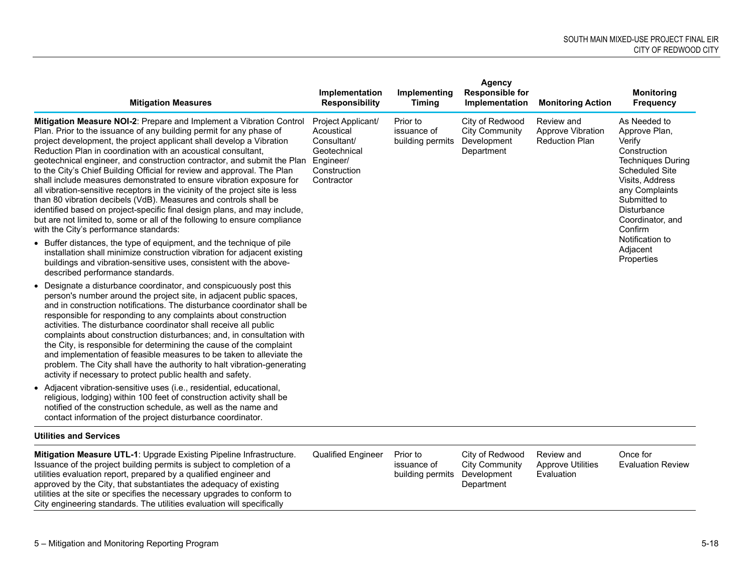| <b>Mitigation Measures</b>                                                                                                                                                                                                                                                                                                                                                                                                                                                                                                                                                                                                                                                                                                                                                                                                                                                                                                                                                                                                     | Implementation<br><b>Responsibility</b>                                                                    | Implementing<br><b>Timing</b>               | Agency<br><b>Responsible for</b><br>Implementation                    | <b>Monitoring Action</b>                                 | <b>Monitoring</b><br><b>Frequency</b>                                                                                                                                                                                                          |
|--------------------------------------------------------------------------------------------------------------------------------------------------------------------------------------------------------------------------------------------------------------------------------------------------------------------------------------------------------------------------------------------------------------------------------------------------------------------------------------------------------------------------------------------------------------------------------------------------------------------------------------------------------------------------------------------------------------------------------------------------------------------------------------------------------------------------------------------------------------------------------------------------------------------------------------------------------------------------------------------------------------------------------|------------------------------------------------------------------------------------------------------------|---------------------------------------------|-----------------------------------------------------------------------|----------------------------------------------------------|------------------------------------------------------------------------------------------------------------------------------------------------------------------------------------------------------------------------------------------------|
| Mitigation Measure NOI-2: Prepare and Implement a Vibration Control<br>Plan. Prior to the issuance of any building permit for any phase of<br>project development, the project applicant shall develop a Vibration<br>Reduction Plan in coordination with an acoustical consultant,<br>geotechnical engineer, and construction contractor, and submit the Plan<br>to the City's Chief Building Official for review and approval. The Plan<br>shall include measures demonstrated to ensure vibration exposure for<br>all vibration-sensitive receptors in the vicinity of the project site is less<br>than 80 vibration decibels (VdB). Measures and controls shall be<br>identified based on project-specific final design plans, and may include,<br>but are not limited to, some or all of the following to ensure compliance<br>with the City's performance standards:<br>• Buffer distances, the type of equipment, and the technique of pile<br>installation shall minimize construction vibration for adjacent existing | Project Applicant/<br>Acoustical<br>Consultant/<br>Geotechnical<br>Engineer/<br>Construction<br>Contractor | Prior to<br>issuance of<br>building permits | City of Redwood<br><b>City Community</b><br>Development<br>Department | Review and<br>Approve Vibration<br><b>Reduction Plan</b> | As Needed to<br>Approve Plan,<br>Verify<br>Construction<br><b>Techniques During</b><br><b>Scheduled Site</b><br>Visits, Address<br>any Complaints<br>Submitted to<br>Disturbance<br>Coordinator, and<br>Confirm<br>Notification to<br>Adjacent |
| buildings and vibration-sensitive uses, consistent with the above-<br>described performance standards.                                                                                                                                                                                                                                                                                                                                                                                                                                                                                                                                                                                                                                                                                                                                                                                                                                                                                                                         |                                                                                                            |                                             |                                                                       |                                                          | Properties                                                                                                                                                                                                                                     |
| • Designate a disturbance coordinator, and conspicuously post this<br>person's number around the project site, in adjacent public spaces,<br>and in construction notifications. The disturbance coordinator shall be<br>responsible for responding to any complaints about construction<br>activities. The disturbance coordinator shall receive all public<br>complaints about construction disturbances; and, in consultation with<br>the City, is responsible for determining the cause of the complaint<br>and implementation of feasible measures to be taken to alleviate the<br>problem. The City shall have the authority to halt vibration-generating<br>activity if necessary to protect public health and safety.                                                                                                                                                                                                                                                                                                   |                                                                                                            |                                             |                                                                       |                                                          |                                                                                                                                                                                                                                                |
| • Adjacent vibration-sensitive uses (i.e., residential, educational,<br>religious, lodging) within 100 feet of construction activity shall be<br>notified of the construction schedule, as well as the name and<br>contact information of the project disturbance coordinator.                                                                                                                                                                                                                                                                                                                                                                                                                                                                                                                                                                                                                                                                                                                                                 |                                                                                                            |                                             |                                                                       |                                                          |                                                                                                                                                                                                                                                |
| <b>Utilities and Services</b>                                                                                                                                                                                                                                                                                                                                                                                                                                                                                                                                                                                                                                                                                                                                                                                                                                                                                                                                                                                                  |                                                                                                            |                                             |                                                                       |                                                          |                                                                                                                                                                                                                                                |
| Mitiantion Monsure UTL 4: Uperado Evicting Dipolino Infractructure                                                                                                                                                                                                                                                                                                                                                                                                                                                                                                                                                                                                                                                                                                                                                                                                                                                                                                                                                             | Qualified Engineer Drier to                                                                                |                                             | City of Dodwood                                                       | Poviou and                                               | $\bigcap$ noo for                                                                                                                                                                                                                              |

**Mitigation Measure UTL-1**: Upgrade Existing Pipeline Infrastructure. Qualified Engineer Prior to Issuance of the project building permits is subject to completion of a utilities evaluation report, prepared by a qualified engineer and approved by the City, that substantiates the adequacy of existing utilities at the site or specifies the necessary upgrades to conform to City engineering standards. The utilities evaluation will specifically

issuance of building permits Development

City of Redwood City Community Department

Review and Approve Utilities Evaluation

Once for Evaluation Review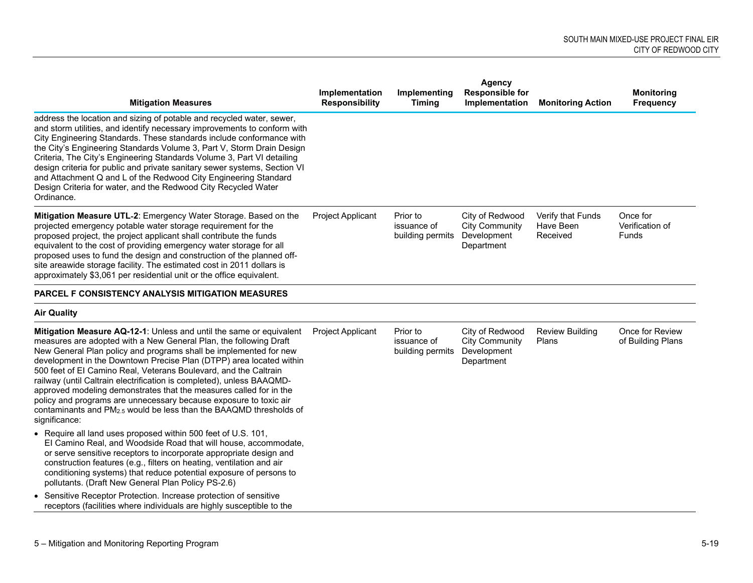| <b>Mitigation Measures</b>                                                                                                                                                                                                                                                                                                                                                                                                                                                                                                                                                                                                                                            | Implementation<br><b>Responsibility</b> | Implementing<br><b>Timing</b>               | <b>Responsible for</b><br>Implementation                              | <b>Monitoring Action</b>                   | <b>Monitoring</b><br><b>Frequency</b> |
|-----------------------------------------------------------------------------------------------------------------------------------------------------------------------------------------------------------------------------------------------------------------------------------------------------------------------------------------------------------------------------------------------------------------------------------------------------------------------------------------------------------------------------------------------------------------------------------------------------------------------------------------------------------------------|-----------------------------------------|---------------------------------------------|-----------------------------------------------------------------------|--------------------------------------------|---------------------------------------|
| address the location and sizing of potable and recycled water, sewer,<br>and storm utilities, and identify necessary improvements to conform with<br>City Engineering Standards. These standards include conformance with<br>the City's Engineering Standards Volume 3, Part V, Storm Drain Design<br>Criteria, The City's Engineering Standards Volume 3, Part VI detailing<br>design criteria for public and private sanitary sewer systems, Section VI<br>and Attachment Q and L of the Redwood City Engineering Standard<br>Design Criteria for water, and the Redwood City Recycled Water<br>Ordinance.                                                          |                                         |                                             |                                                                       |                                            |                                       |
| Mitigation Measure UTL-2: Emergency Water Storage. Based on the<br>projected emergency potable water storage requirement for the<br>proposed project, the project applicant shall contribute the funds<br>equivalent to the cost of providing emergency water storage for all<br>proposed uses to fund the design and construction of the planned off-<br>site areawide storage facility. The estimated cost in 2011 dollars is<br>approximately \$3,061 per residential unit or the office equivalent.                                                                                                                                                               | Project Applicant                       | Prior to<br>issuance of<br>building permits | City of Redwood<br><b>City Community</b><br>Development<br>Department | Verify that Funds<br>Have Been<br>Received | Once for<br>Verification of<br>Funds  |
| PARCEL F CONSISTENCY ANALYSIS MITIGATION MEASURES                                                                                                                                                                                                                                                                                                                                                                                                                                                                                                                                                                                                                     |                                         |                                             |                                                                       |                                            |                                       |
| <b>Air Quality</b>                                                                                                                                                                                                                                                                                                                                                                                                                                                                                                                                                                                                                                                    |                                         |                                             |                                                                       |                                            |                                       |
| Mitigation Measure AQ-12-1: Unless and until the same or equivalent<br>measures are adopted with a New General Plan, the following Draft<br>New General Plan policy and programs shall be implemented for new<br>development in the Downtown Precise Plan (DTPP) area located within<br>500 feet of El Camino Real, Veterans Boulevard, and the Caltrain<br>railway (until Caltrain electrification is completed), unless BAAQMD-<br>approved modeling demonstrates that the measures called for in the<br>policy and programs are unnecessary because exposure to toxic air<br>contaminants and $PM2.5$ would be less than the BAAQMD thresholds of<br>significance: | Project Applicant                       | Prior to<br>issuance of<br>building permits | City of Redwood<br><b>City Community</b><br>Development<br>Department | <b>Review Building</b><br>Plans            | Once for Review<br>of Building Plans  |
| • Require all land uses proposed within 500 feet of U.S. 101,<br>El Camino Real, and Woodside Road that will house, accommodate,<br>or serve sensitive receptors to incorporate appropriate design and<br>construction features (e.g., filters on heating, ventilation and air<br>conditioning systems) that reduce potential exposure of persons to<br>pollutants. (Draft New General Plan Policy PS-2.6)                                                                                                                                                                                                                                                            |                                         |                                             |                                                                       |                                            |                                       |
| • Sensitive Receptor Protection. Increase protection of sensitive<br>receptors (facilities where individuals are highly susceptible to the                                                                                                                                                                                                                                                                                                                                                                                                                                                                                                                            |                                         |                                             |                                                                       |                                            |                                       |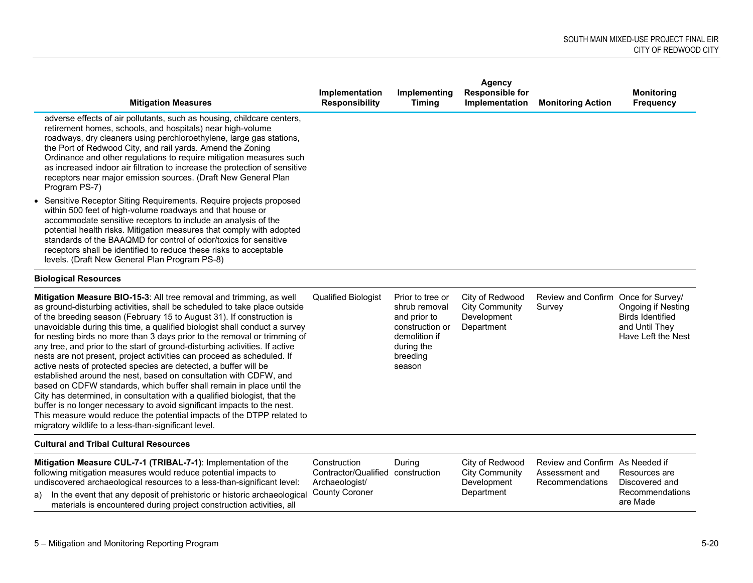| <b>Mitigation Measures</b>                                                                                                                                                                                                                                                                                                                                                                                                                                                                                                                                                                                                                                                                                                                                                                                                                                                                                                                                                                                                                                | Implementation<br><b>Responsibility</b>                                                      | Implementing<br><b>Timing</b>                                                                                             | Agency<br><b>Responsible for</b><br>Implementation                    | <b>Monitoring Action</b>                                             | <b>Monitoring</b><br><b>Frequency</b>                                                        |
|-----------------------------------------------------------------------------------------------------------------------------------------------------------------------------------------------------------------------------------------------------------------------------------------------------------------------------------------------------------------------------------------------------------------------------------------------------------------------------------------------------------------------------------------------------------------------------------------------------------------------------------------------------------------------------------------------------------------------------------------------------------------------------------------------------------------------------------------------------------------------------------------------------------------------------------------------------------------------------------------------------------------------------------------------------------|----------------------------------------------------------------------------------------------|---------------------------------------------------------------------------------------------------------------------------|-----------------------------------------------------------------------|----------------------------------------------------------------------|----------------------------------------------------------------------------------------------|
| adverse effects of air pollutants, such as housing, childcare centers,<br>retirement homes, schools, and hospitals) near high-volume<br>roadways, dry cleaners using perchloroethylene, large gas stations,<br>the Port of Redwood City, and rail yards. Amend the Zoning<br>Ordinance and other regulations to require mitigation measures such<br>as increased indoor air filtration to increase the protection of sensitive<br>receptors near major emission sources. (Draft New General Plan<br>Program PS-7)                                                                                                                                                                                                                                                                                                                                                                                                                                                                                                                                         |                                                                                              |                                                                                                                           |                                                                       |                                                                      |                                                                                              |
| • Sensitive Receptor Siting Requirements. Require projects proposed<br>within 500 feet of high-volume roadways and that house or<br>accommodate sensitive receptors to include an analysis of the<br>potential health risks. Mitigation measures that comply with adopted<br>standards of the BAAQMD for control of odor/toxics for sensitive<br>receptors shall be identified to reduce these risks to acceptable<br>levels. (Draft New General Plan Program PS-8)                                                                                                                                                                                                                                                                                                                                                                                                                                                                                                                                                                                       |                                                                                              |                                                                                                                           |                                                                       |                                                                      |                                                                                              |
| <b>Biological Resources</b>                                                                                                                                                                                                                                                                                                                                                                                                                                                                                                                                                                                                                                                                                                                                                                                                                                                                                                                                                                                                                               |                                                                                              |                                                                                                                           |                                                                       |                                                                      |                                                                                              |
| Mitigation Measure BIO-15-3: All tree removal and trimming, as well<br>as ground-disturbing activities, shall be scheduled to take place outside<br>of the breeding season (February 15 to August 31). If construction is<br>unavoidable during this time, a qualified biologist shall conduct a survey<br>for nesting birds no more than 3 days prior to the removal or trimming of<br>any tree, and prior to the start of ground-disturbing activities. If active<br>nests are not present, project activities can proceed as scheduled. If<br>active nests of protected species are detected, a buffer will be<br>established around the nest, based on consultation with CDFW, and<br>based on CDFW standards, which buffer shall remain in place until the<br>City has determined, in consultation with a qualified biologist, that the<br>buffer is no longer necessary to avoid significant impacts to the nest.<br>This measure would reduce the potential impacts of the DTPP related to<br>migratory wildlife to a less-than-significant level. | <b>Qualified Biologist</b>                                                                   | Prior to tree or<br>shrub removal<br>and prior to<br>construction or<br>demolition if<br>during the<br>breeding<br>season | City of Redwood<br><b>City Community</b><br>Development<br>Department | Review and Confirm Once for Survey/<br>Survey                        | <b>Ongoing if Nesting</b><br><b>Birds Identified</b><br>and Until They<br>Have Left the Nest |
| <b>Cultural and Tribal Cultural Resources</b>                                                                                                                                                                                                                                                                                                                                                                                                                                                                                                                                                                                                                                                                                                                                                                                                                                                                                                                                                                                                             |                                                                                              |                                                                                                                           |                                                                       |                                                                      |                                                                                              |
| Mitigation Measure CUL-7-1 (TRIBAL-7-1): Implementation of the<br>following mitigation measures would reduce potential impacts to<br>undiscovered archaeological resources to a less-than-significant level:<br>In the event that any deposit of prehistoric or historic archaeological<br>a)<br>materials is encountered during project construction activities, all                                                                                                                                                                                                                                                                                                                                                                                                                                                                                                                                                                                                                                                                                     | Construction<br>Contractor/Qualified construction<br>Archaeologist/<br><b>County Coroner</b> | During                                                                                                                    | City of Redwood<br><b>City Community</b><br>Development<br>Department | Review and Confirm As Needed if<br>Assessment and<br>Recommendations | Resources are<br>Discovered and<br>Recommendations<br>are Made                               |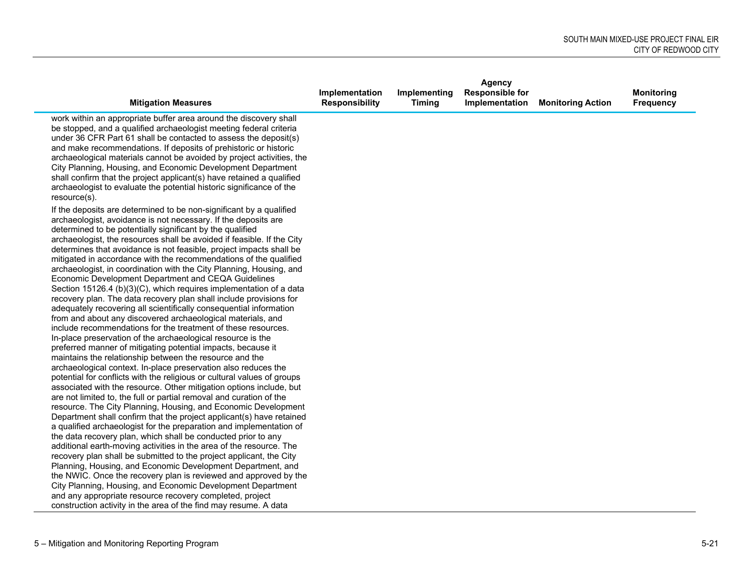|                                                                                                                                                                                                                                                                                                                                                                                                                                                                                                                                                                                                                                                                                                                                                                                                                                                                                                                                                                                                                                                                                                                                                                                                                                                 |                       |               | <b>Agency</b>          |                          |                   |
|-------------------------------------------------------------------------------------------------------------------------------------------------------------------------------------------------------------------------------------------------------------------------------------------------------------------------------------------------------------------------------------------------------------------------------------------------------------------------------------------------------------------------------------------------------------------------------------------------------------------------------------------------------------------------------------------------------------------------------------------------------------------------------------------------------------------------------------------------------------------------------------------------------------------------------------------------------------------------------------------------------------------------------------------------------------------------------------------------------------------------------------------------------------------------------------------------------------------------------------------------|-----------------------|---------------|------------------------|--------------------------|-------------------|
|                                                                                                                                                                                                                                                                                                                                                                                                                                                                                                                                                                                                                                                                                                                                                                                                                                                                                                                                                                                                                                                                                                                                                                                                                                                 | Implementation        | Implementing  | <b>Responsible for</b> |                          | <b>Monitoring</b> |
| <b>Mitigation Measures</b>                                                                                                                                                                                                                                                                                                                                                                                                                                                                                                                                                                                                                                                                                                                                                                                                                                                                                                                                                                                                                                                                                                                                                                                                                      | <b>Responsibility</b> | <b>Timing</b> | Implementation         | <b>Monitoring Action</b> | <b>Frequency</b>  |
| work within an appropriate buffer area around the discovery shall<br>be stopped, and a qualified archaeologist meeting federal criteria<br>under 36 CFR Part 61 shall be contacted to assess the deposit(s)<br>and make recommendations. If deposits of prehistoric or historic<br>archaeological materials cannot be avoided by project activities, the<br>City Planning, Housing, and Economic Development Department<br>shall confirm that the project applicant(s) have retained a qualified<br>archaeologist to evaluate the potential historic significance of the<br>$resource(s)$ .                                                                                                                                                                                                                                                                                                                                                                                                                                                                                                                                                                                                                                                     |                       |               |                        |                          |                   |
| If the deposits are determined to be non-significant by a qualified<br>archaeologist, avoidance is not necessary. If the deposits are<br>determined to be potentially significant by the qualified<br>archaeologist, the resources shall be avoided if feasible. If the City<br>determines that avoidance is not feasible, project impacts shall be<br>mitigated in accordance with the recommendations of the qualified<br>archaeologist, in coordination with the City Planning, Housing, and<br>Economic Development Department and CEQA Guidelines<br>Section 15126.4 (b)(3)(C), which requires implementation of a data<br>recovery plan. The data recovery plan shall include provisions for<br>adequately recovering all scientifically consequential information<br>from and about any discovered archaeological materials, and<br>include recommendations for the treatment of these resources.<br>In-place preservation of the archaeological resource is the<br>preferred manner of mitigating potential impacts, because it<br>maintains the relationship between the resource and the<br>archaeological context. In-place preservation also reduces the<br>potential for conflicts with the religious or cultural values of groups |                       |               |                        |                          |                   |
| associated with the resource. Other mitigation options include, but<br>are not limited to, the full or partial removal and curation of the<br>resource. The City Planning, Housing, and Economic Development<br>Department shall confirm that the project applicant(s) have retained<br>a qualified archaeologist for the preparation and implementation of                                                                                                                                                                                                                                                                                                                                                                                                                                                                                                                                                                                                                                                                                                                                                                                                                                                                                     |                       |               |                        |                          |                   |
| the data recovery plan, which shall be conducted prior to any<br>additional earth-moving activities in the area of the resource. The<br>recovery plan shall be submitted to the project applicant, the City<br>Planning, Housing, and Economic Development Department, and                                                                                                                                                                                                                                                                                                                                                                                                                                                                                                                                                                                                                                                                                                                                                                                                                                                                                                                                                                      |                       |               |                        |                          |                   |
| the NWIC. Once the recovery plan is reviewed and approved by the<br>City Planning, Housing, and Economic Development Department<br>and any appropriate resource recovery completed, project<br>construction activity in the area of the find may resume. A data                                                                                                                                                                                                                                                                                                                                                                                                                                                                                                                                                                                                                                                                                                                                                                                                                                                                                                                                                                                 |                       |               |                        |                          |                   |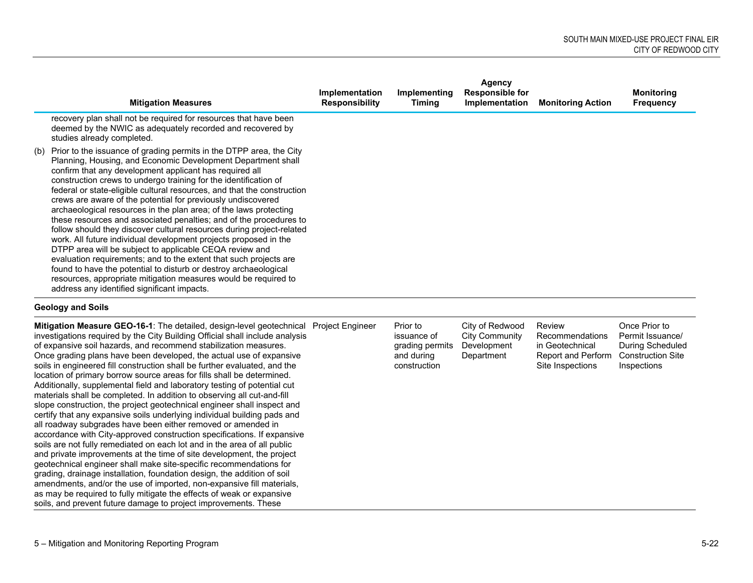|     | <b>Mitigation Measures</b>                                                                                                                                                                                                                                                                                                                                                                                                                                                                                                                                                                                                                                                                                                                                                                                                                                                                                                                                                                                                  | Implementation<br><b>Responsibility</b> | Implementing<br><b>Timing</b> | Agency<br><b>Responsible for</b><br>Implementation | <b>Monitoring Action</b> | <b>Monitoring</b><br><b>Frequency</b> |
|-----|-----------------------------------------------------------------------------------------------------------------------------------------------------------------------------------------------------------------------------------------------------------------------------------------------------------------------------------------------------------------------------------------------------------------------------------------------------------------------------------------------------------------------------------------------------------------------------------------------------------------------------------------------------------------------------------------------------------------------------------------------------------------------------------------------------------------------------------------------------------------------------------------------------------------------------------------------------------------------------------------------------------------------------|-----------------------------------------|-------------------------------|----------------------------------------------------|--------------------------|---------------------------------------|
|     | recovery plan shall not be required for resources that have been<br>deemed by the NWIC as adequately recorded and recovered by<br>studies already completed.                                                                                                                                                                                                                                                                                                                                                                                                                                                                                                                                                                                                                                                                                                                                                                                                                                                                |                                         |                               |                                                    |                          |                                       |
| (b) | Prior to the issuance of grading permits in the DTPP area, the City<br>Planning, Housing, and Economic Development Department shall<br>confirm that any development applicant has required all<br>construction crews to undergo training for the identification of<br>federal or state-eligible cultural resources, and that the construction<br>crews are aware of the potential for previously undiscovered<br>archaeological resources in the plan area; of the laws protecting<br>these resources and associated penalties; and of the procedures to<br>follow should they discover cultural resources during project-related<br>work. All future individual development projects proposed in the<br>DTPP area will be subject to applicable CEQA review and<br>evaluation requirements; and to the extent that such projects are<br>found to have the potential to disturb or destroy archaeological<br>resources, appropriate mitigation measures would be required to<br>address any identified significant impacts. |                                         |                               |                                                    |                          |                                       |

### **Geology and Soils**

| <b>Mitigation Measure GEO-16-1:</b> The detailed, design-level geotechnical Project Engineer<br>investigations required by the City Building Official shall include analysis<br>of expansive soil hazards, and recommend stabilization measures.<br>Once grading plans have been developed, the actual use of expansive<br>soils in engineered fill construction shall be further evaluated, and the<br>location of primary borrow source areas for fills shall be determined.<br>Additionally, supplemental field and laboratory testing of potential cut<br>materials shall be completed. In addition to observing all cut-and-fill<br>slope construction, the project geotechnical engineer shall inspect and<br>certify that any expansive soils underlying individual building pads and<br>all roadway subgrades have been either removed or amended in<br>accordance with City-approved construction specifications. If expansive<br>soils are not fully remediated on each lot and in the area of all public<br>and private improvements at the time of site development, the project<br>geotechnical engineer shall make site-specific recommendations for<br>grading, drainage installation, foundation design, the addition of soil<br>amendments, and/or the use of imported, non-expansive fill materials, | Prior to<br>issuance of<br>grading permits<br>and during<br>construction | City of Redwood<br><b>City Community</b><br>Development<br>Department | Review<br>Recommendations<br>in Geotechnical<br><b>Report and Perform</b><br>Site Inspections | Once Prior to<br>Permit Issuance/<br><b>During Scheduled</b><br><b>Construction Site</b><br>Inspections |
|------------------------------------------------------------------------------------------------------------------------------------------------------------------------------------------------------------------------------------------------------------------------------------------------------------------------------------------------------------------------------------------------------------------------------------------------------------------------------------------------------------------------------------------------------------------------------------------------------------------------------------------------------------------------------------------------------------------------------------------------------------------------------------------------------------------------------------------------------------------------------------------------------------------------------------------------------------------------------------------------------------------------------------------------------------------------------------------------------------------------------------------------------------------------------------------------------------------------------------------------------------------------------------------------------------------------|--------------------------------------------------------------------------|-----------------------------------------------------------------------|-----------------------------------------------------------------------------------------------|---------------------------------------------------------------------------------------------------------|
| as may be required to fully mitigate the effects of weak or expansive<br>soils, and prevent future damage to project improvements. These                                                                                                                                                                                                                                                                                                                                                                                                                                                                                                                                                                                                                                                                                                                                                                                                                                                                                                                                                                                                                                                                                                                                                                               |                                                                          |                                                                       |                                                                                               |                                                                                                         |
|                                                                                                                                                                                                                                                                                                                                                                                                                                                                                                                                                                                                                                                                                                                                                                                                                                                                                                                                                                                                                                                                                                                                                                                                                                                                                                                        |                                                                          |                                                                       |                                                                                               |                                                                                                         |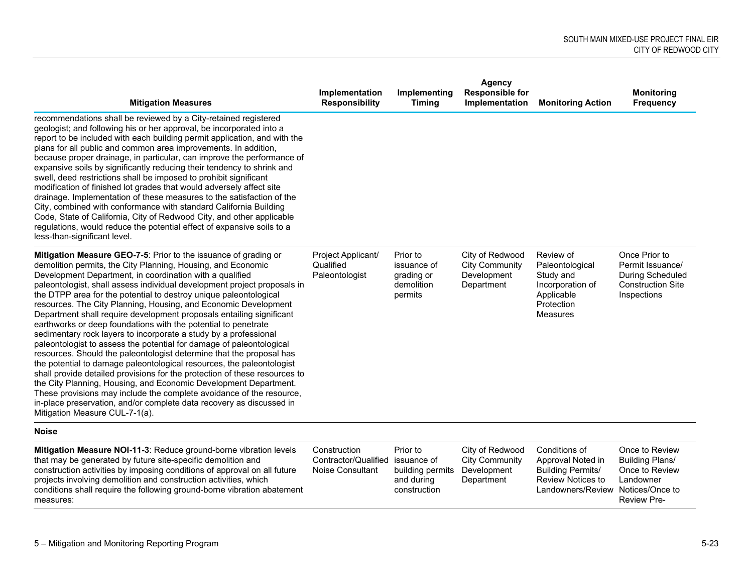| <b>Mitigation Measures</b>                                                                                                                                                                                                                                                                                                                                                                                                                                                                                                                                                                                                                                                                                                                                                                                                                                                                                                                                                                                                                                                                                                                                                                 | Implementation<br><b>Responsibility</b>                         | Implementing<br><b>Timing</b>                                             | <b>Agency</b><br><b>Responsible for</b><br>Implementation             | <b>Monitoring Action</b>                                                                                        | <b>Monitoring</b><br>Frequency                                                                                   |
|--------------------------------------------------------------------------------------------------------------------------------------------------------------------------------------------------------------------------------------------------------------------------------------------------------------------------------------------------------------------------------------------------------------------------------------------------------------------------------------------------------------------------------------------------------------------------------------------------------------------------------------------------------------------------------------------------------------------------------------------------------------------------------------------------------------------------------------------------------------------------------------------------------------------------------------------------------------------------------------------------------------------------------------------------------------------------------------------------------------------------------------------------------------------------------------------|-----------------------------------------------------------------|---------------------------------------------------------------------------|-----------------------------------------------------------------------|-----------------------------------------------------------------------------------------------------------------|------------------------------------------------------------------------------------------------------------------|
| recommendations shall be reviewed by a City-retained registered<br>geologist; and following his or her approval, be incorporated into a<br>report to be included with each building permit application, and with the<br>plans for all public and common area improvements. In addition,<br>because proper drainage, in particular, can improve the performance of<br>expansive soils by significantly reducing their tendency to shrink and<br>swell, deed restrictions shall be imposed to prohibit significant<br>modification of finished lot grades that would adversely affect site<br>drainage. Implementation of these measures to the satisfaction of the<br>City, combined with conformance with standard California Building<br>Code, State of California, City of Redwood City, and other applicable<br>regulations, would reduce the potential effect of expansive soils to a<br>less-than-significant level.                                                                                                                                                                                                                                                                  |                                                                 |                                                                           |                                                                       |                                                                                                                 |                                                                                                                  |
| Mitigation Measure GEO-7-5: Prior to the issuance of grading or<br>demolition permits, the City Planning, Housing, and Economic<br>Development Department, in coordination with a qualified<br>paleontologist, shall assess individual development project proposals in<br>the DTPP area for the potential to destroy unique paleontological<br>resources. The City Planning, Housing, and Economic Development<br>Department shall require development proposals entailing significant<br>earthworks or deep foundations with the potential to penetrate<br>sedimentary rock layers to incorporate a study by a professional<br>paleontologist to assess the potential for damage of paleontological<br>resources. Should the paleontologist determine that the proposal has<br>the potential to damage paleontological resources, the paleontologist<br>shall provide detailed provisions for the protection of these resources to<br>the City Planning, Housing, and Economic Development Department.<br>These provisions may include the complete avoidance of the resource,<br>in-place preservation, and/or complete data recovery as discussed in<br>Mitigation Measure CUL-7-1(a). | Project Applicant/<br>Qualified<br>Paleontologist               | Prior to<br>issuance of<br>grading or<br>demolition<br>permits            | City of Redwood<br><b>City Community</b><br>Development<br>Department | Review of<br>Paleontological<br>Study and<br>Incorporation of<br>Applicable<br>Protection<br><b>Measures</b>    | Once Prior to<br>Permit Issuance/<br><b>During Scheduled</b><br><b>Construction Site</b><br>Inspections          |
| <b>Noise</b>                                                                                                                                                                                                                                                                                                                                                                                                                                                                                                                                                                                                                                                                                                                                                                                                                                                                                                                                                                                                                                                                                                                                                                               |                                                                 |                                                                           |                                                                       |                                                                                                                 |                                                                                                                  |
| Mitigation Measure NOI-11-3: Reduce ground-borne vibration levels<br>that may be generated by future site-specific demolition and<br>construction activities by imposing conditions of approval on all future<br>projects involving demolition and construction activities, which<br>conditions shall require the following ground-borne vibration abatement<br>measures:                                                                                                                                                                                                                                                                                                                                                                                                                                                                                                                                                                                                                                                                                                                                                                                                                  | Construction<br>Contractor/Qualified<br><b>Noise Consultant</b> | Prior to<br>issuance of<br>building permits<br>and during<br>construction | City of Redwood<br><b>City Community</b><br>Development<br>Department | Conditions of<br>Approval Noted in<br><b>Building Permits/</b><br><b>Review Notices to</b><br>Landowners/Review | Once to Review<br><b>Building Plans/</b><br>Once to Review<br>Landowner<br>Notices/Once to<br><b>Review Pre-</b> |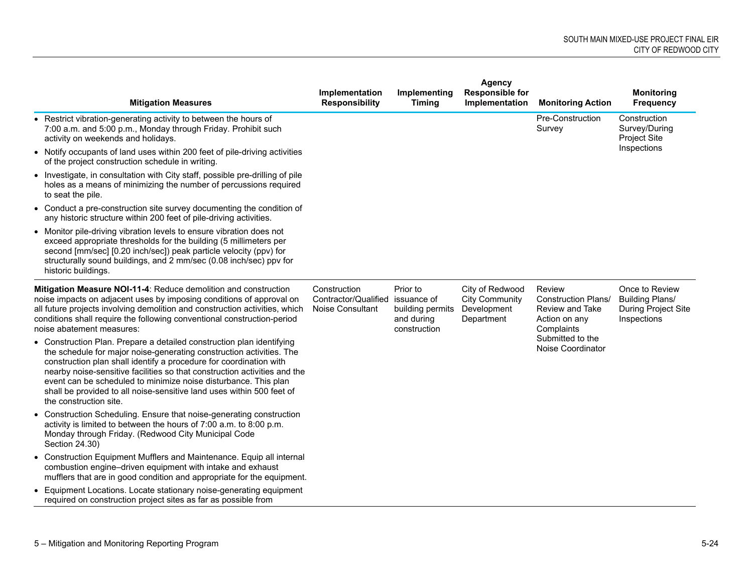|                                                                                                                                                                                                                                                                                                                                                                                                                                                                        | Implementation                                                  | Implementing                                                              | <b>Agency</b><br><b>Responsible for</b>                               |                                                                                        | <b>Monitoring</b>                                                              |
|------------------------------------------------------------------------------------------------------------------------------------------------------------------------------------------------------------------------------------------------------------------------------------------------------------------------------------------------------------------------------------------------------------------------------------------------------------------------|-----------------------------------------------------------------|---------------------------------------------------------------------------|-----------------------------------------------------------------------|----------------------------------------------------------------------------------------|--------------------------------------------------------------------------------|
| <b>Mitigation Measures</b>                                                                                                                                                                                                                                                                                                                                                                                                                                             | <b>Responsibility</b>                                           | <b>Timing</b>                                                             | Implementation                                                        | <b>Monitoring Action</b>                                                               | <b>Frequency</b>                                                               |
| • Restrict vibration-generating activity to between the hours of<br>7:00 a.m. and 5:00 p.m., Monday through Friday. Prohibit such<br>activity on weekends and holidays.                                                                                                                                                                                                                                                                                                |                                                                 |                                                                           |                                                                       | Pre-Construction<br>Survey                                                             | Construction<br>Survey/During<br><b>Project Site</b>                           |
| • Notify occupants of land uses within 200 feet of pile-driving activities<br>of the project construction schedule in writing.                                                                                                                                                                                                                                                                                                                                         |                                                                 |                                                                           |                                                                       |                                                                                        | Inspections                                                                    |
| • Investigate, in consultation with City staff, possible pre-drilling of pile<br>holes as a means of minimizing the number of percussions required<br>to seat the pile.                                                                                                                                                                                                                                                                                                |                                                                 |                                                                           |                                                                       |                                                                                        |                                                                                |
| • Conduct a pre-construction site survey documenting the condition of<br>any historic structure within 200 feet of pile-driving activities.                                                                                                                                                                                                                                                                                                                            |                                                                 |                                                                           |                                                                       |                                                                                        |                                                                                |
| • Monitor pile-driving vibration levels to ensure vibration does not<br>exceed appropriate thresholds for the building (5 millimeters per<br>second [mm/sec] [0.20 inch/sec]) peak particle velocity (ppv) for<br>structurally sound buildings, and 2 mm/sec (0.08 inch/sec) ppv for<br>historic buildings.                                                                                                                                                            |                                                                 |                                                                           |                                                                       |                                                                                        |                                                                                |
| Mitigation Measure NOI-11-4: Reduce demolition and construction<br>noise impacts on adjacent uses by imposing conditions of approval on<br>all future projects involving demolition and construction activities, which<br>conditions shall require the following conventional construction-period<br>noise abatement measures:                                                                                                                                         | Construction<br>Contractor/Qualified<br><b>Noise Consultant</b> | Prior to<br>issuance of<br>building permits<br>and during<br>construction | City of Redwood<br><b>City Community</b><br>Development<br>Department | Review<br><b>Construction Plans/</b><br>Review and Take<br>Action on any<br>Complaints | Once to Review<br><b>Building Plans/</b><br>During Project Site<br>Inspections |
| • Construction Plan. Prepare a detailed construction plan identifying<br>the schedule for major noise-generating construction activities. The<br>construction plan shall identify a procedure for coordination with<br>nearby noise-sensitive facilities so that construction activities and the<br>event can be scheduled to minimize noise disturbance. This plan<br>shall be provided to all noise-sensitive land uses within 500 feet of<br>the construction site. |                                                                 |                                                                           |                                                                       | Submitted to the<br>Noise Coordinator                                                  |                                                                                |
| • Construction Scheduling. Ensure that noise-generating construction<br>activity is limited to between the hours of 7:00 a.m. to 8:00 p.m.<br>Monday through Friday. (Redwood City Municipal Code<br>Section 24.30)                                                                                                                                                                                                                                                    |                                                                 |                                                                           |                                                                       |                                                                                        |                                                                                |
| • Construction Equipment Mufflers and Maintenance. Equip all internal<br>combustion engine-driven equipment with intake and exhaust<br>mufflers that are in good condition and appropriate for the equipment.                                                                                                                                                                                                                                                          |                                                                 |                                                                           |                                                                       |                                                                                        |                                                                                |
| • Equipment Locations. Locate stationary noise-generating equipment<br>required on construction project sites as far as possible from                                                                                                                                                                                                                                                                                                                                  |                                                                 |                                                                           |                                                                       |                                                                                        |                                                                                |